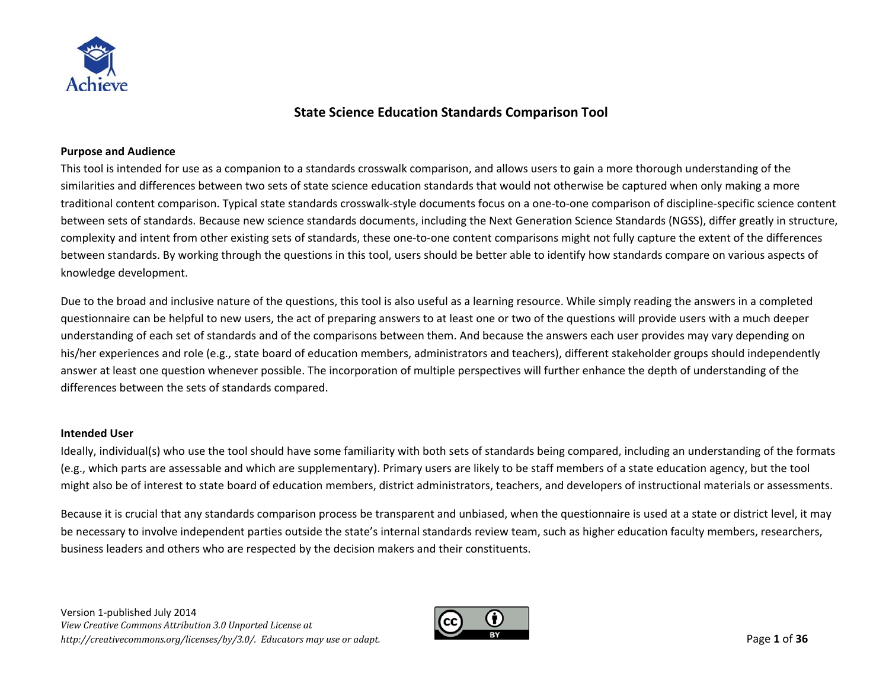

# **State Science Education Standards Comparison Tool**

#### **Purpose and Audience**

This tool is intended for use as <sup>a</sup> companion to <sup>a</sup> standards crosswalk comparison, and allows users to gain <sup>a</sup> more thorough understanding of the similarities and differences between two sets of state science education standards that would not otherwise be captured when only making <sup>a</sup> more traditional content comparison. Typical state standards crosswalk‐style documents focus on <sup>a</sup> one‐to‐one comparison of discipline‐specific science content between sets of standards. Because new science standards documents, including the Next Generation Science Standards (NGSS), differ greatly in structure, complexity and intent from other existing sets of standards, these one‐to‐one content comparisons might not fully capture the extent of the differences between standards. By working through the questions in this tool, users should be better able to identify how standards compare on various aspects of knowledge development.

Due to the broad and inclusive nature of the questions, this tool is also useful as <sup>a</sup> learning resource. While simply reading the answers in <sup>a</sup> completed questionnaire can be helpful to new users, the act of preparing answers to at least one or two of the questions will provide users with <sup>a</sup> much deeper understanding of each set of standards and of the comparisons between them. And because the answers each user provides may vary depending on his/her experiences and role (e.g., state board of education members, administrators and teachers), different stakeholder groups should independently answer at least one question whenever possible. The incorporation of multiple perspectives will further enhance the depth of understanding of the differences between the sets of standards compared.

#### **Intended User**

Ideally, individual(s) who use the tool should have some familiarity with both sets of standards being compared, including an understanding of the formats (e.g., which parts are assessable and which are supplementary). Primary users are likely to be staff members of <sup>a</sup> state education agency, but the tool might also be of interest to state board of education members, district administrators, teachers, and developers of instructional materials or assessments.

Because it is crucial that any standards comparison process be transparent and unbiased, when the questionnaire is used at <sup>a</sup> state or district level, it may be necessary to involve independent parties outside the state's internal standards review team, such as higher education faculty members, researchers, business leaders and others who are respected by the decision makers and their constituents.

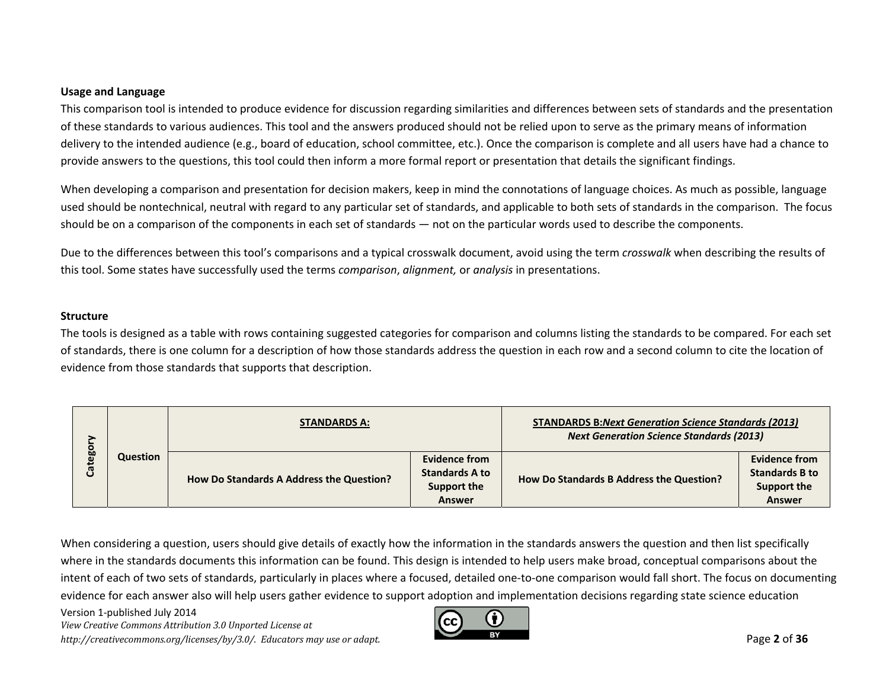#### **Usage and Language**

This comparison tool is intended to produce evidence for discussion regarding similarities and differences between sets of standards and the presentation of these standards to various audiences. This tool and the answers produced should not be relied upon to serve as the primary means of information delivery to the intended audience (e.g., board of education, school committee, etc.). Once the comparison is complete and all users have had <sup>a</sup> chance to provide answers to the questions, this tool could then inform <sup>a</sup> more formal report or presentation that details the significant findings.

When developing <sup>a</sup> comparison and presentation for decision makers, keep in mind the connotations of language choices. As much as possible, language used should be nontechnical, neutral with regard to any particular set of standards, and applicable to both sets of standards in the comparison. The focus should be on <sup>a</sup> comparison of the components in each set of standards — not on the particular words used to describe the components.

Due to the differences between this tool's comparisons and <sup>a</sup> typical crosswalk document, avoid using the term *crosswalk* when describing the results of this tool. Some states have successfully used the terms *comparison*, *alignment,* or *analysis* in presentations.

#### **Structure**

The tools is designed as <sup>a</sup> table with rows containing suggested categories for comparison and columns listing the standards to be compared. For each set of standards, there is one column for <sup>a</sup> description of how those standards address the question in each row and <sup>a</sup> second column to cite the location of evidence from those standards that supports that description.

|         |                 | <b>STANDARDS A:</b>                      |                                        | <b>STANDARDS B:Next Generation Science Standards (2013)</b><br><b>Next Generation Science Standards (2013)</b> |                                        |
|---------|-----------------|------------------------------------------|----------------------------------------|----------------------------------------------------------------------------------------------------------------|----------------------------------------|
| Categor | <b>Question</b> | How Do Standards A Address the Question? | Evidence from<br><b>Standards A to</b> | How Do Standards B Address the Question?                                                                       | Evidence from<br><b>Standards B to</b> |
|         |                 |                                          | Support the<br><b>Answer</b>           |                                                                                                                | Support the<br><b>Answer</b>           |

When considering <sup>a</sup> question, users should give details of exactly how the information in the standards answers the question and then list specifically where in the standards documents this information can be found. This design is intended to help users make broad, conceptual comparisons about the intent of each of two sets of standards, particularly in places where <sup>a</sup> focused, detailed one‐to‐one comparison would fall short. The focus on documenting evidence for each answer also will help users gather evidence to support adoption and implementation decisions regarding state science education

Version 1‐published July 2014 *View Creative Commons Attribution 3.0 Unported License at http://creativecommons.org/licenses/by/3.0/. Educators may use or adapt.* Page **2** of **36**

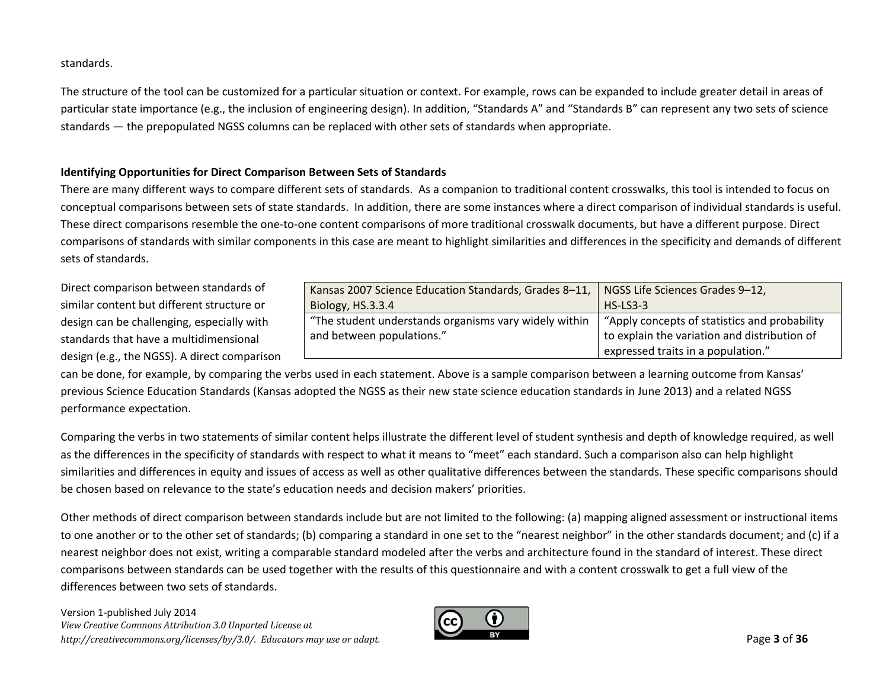standards.

The structure of the tool can be customized for <sup>a</sup> particular situation or context. For example, rows can be expanded to include greater detail in areas of particular state importance (e.g., the inclusion of engineering design). In addition, "Standards A" and "Standards B" can represent any two sets of science standards — the prepopulated NGSS columns can be replaced with other sets of standards when appropriate.

## **Identifying Opportunities for Direct Comparison Between Sets of Standards**

There are many different ways to compare different sets of standards. As <sup>a</sup> companion to traditional content crosswalks, this tool is intended to focus on conceptual comparisons between sets of state standards. In addition, there are some instances where <sup>a</sup> direct comparison of individual standards is useful. These direct comparisons resemble the one‐to‐one content comparisons of more traditional crosswalk documents, but have <sup>a</sup> different purpose. Direct comparisons of standards with similar components in this case are meant to highlight similarities and differences in the specificity and demands of different sets of standards.

Direct comparison between standards of similar content but different structure or design can be challenging, especially with standards that have <sup>a</sup> multidimensional design (e.g., the NGSS). A direct comparison

| Kansas 2007 Science Education Standards, Grades 8-11, | NGSS Life Sciences Grades 9-12,                |
|-------------------------------------------------------|------------------------------------------------|
| Biology, HS.3.3.4                                     | $HS$ -LS3-3                                    |
| "The student understands organisms vary widely within | "Apply concepts of statistics and probability" |
| and between populations."                             | to explain the variation and distribution of   |
|                                                       | expressed traits in a population."             |

can be done, for example, by comparing the verbs used in each statement. Above is <sup>a</sup> sample comparison between <sup>a</sup> learning outcome from Kansas' previous Science Education Standards (Kansas adopted the NGSS as their new state science education standards in June 2013) and <sup>a</sup> related NGSS performance expectation.

Comparing the verbs in two statements of similar content helps illustrate the different level of student synthesis and depth of knowledge required, as well as the differences in the specificity of standards with respect to what it means to "meet" each standard. Such <sup>a</sup> comparison also can help highlight similarities and differences in equity and issues of access as well as other qualitative differences between the standards. These specific comparisons should be chosen based on relevance to the state's education needs and decision makers' priorities.

Other methods of direct comparison between standards include but are not limited to the following: (a) mapping aligned assessment or instructional items to one another or to the other set of standards; (b) comparing <sup>a</sup> standard in one set to the "nearest neighbor" in the other standards document; and (c) if <sup>a</sup> nearest neighbor does not exist, writing <sup>a</sup> comparable standard modeled after the verbs and architecture found in the standard of interest. These direct comparisons between standards can be used together with the results of this questionnaire and with <sup>a</sup> content crosswalk to get <sup>a</sup> full view of the differences between two sets of standards.

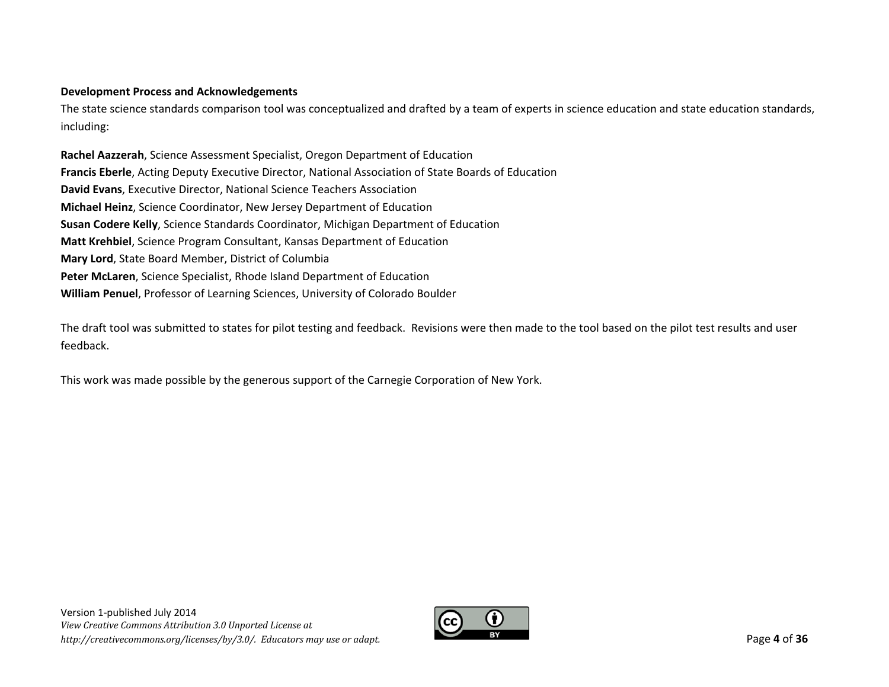## **Development Process and Acknowledgements**

The state science standards comparison tool was conceptualized and drafted by <sup>a</sup> team of experts in science education and state education standards, including:

**Rachel Aazzerah**, Science Assessment Specialist, Oregon Department of Education **Francis Eberle**, Acting Deputy Executive Director, National Association of State Boards of Education **David Evans**, Executive Director, National Science Teachers Association **Michael Heinz**, Science Coordinator, New Jersey Department of Education **Susan Codere Kelly**, Science Standards Coordinator, Michigan Department of Education **Matt Krehbiel**, Science Program Consultant, Kansas Department of Education **Mary Lord**, State Board Member, District of Columbia **Peter McLaren**, Science Specialist, Rhode Island Department of Education **William Penuel**, Professor of Learning Sciences, University of Colorado Boulder

The draft tool was submitted to states for pilot testing and feedback. Revisions were then made to the tool based on the pilot test results and user feedback.

This work was made possible by the generous support of the Carnegie Corporation of New York.

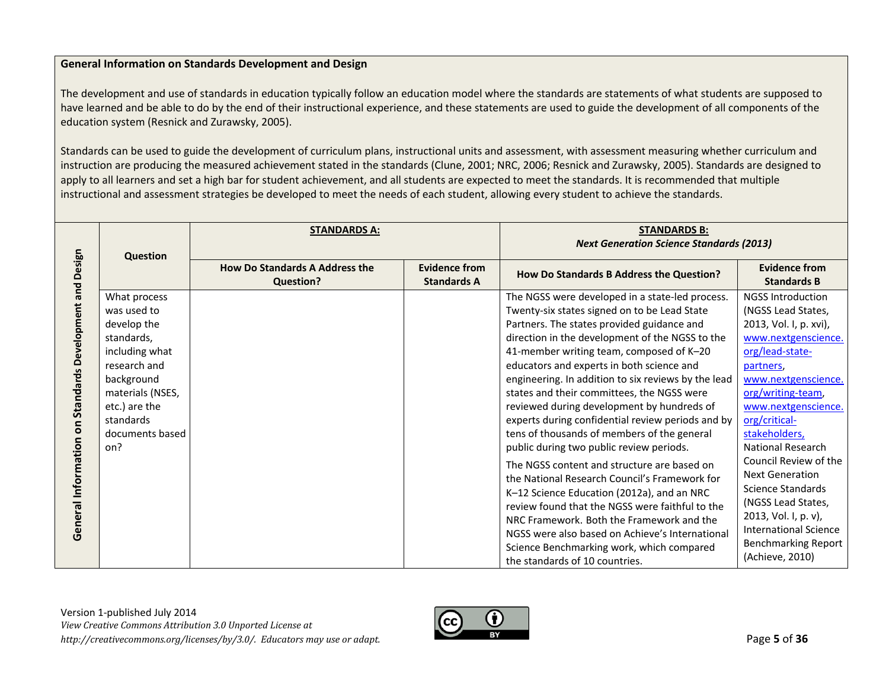# **General Information on Standards Development and Design**

The development and use of standards in education typically follow an education model where the standards are statements of what students are supposed to have learned and be able to do by the end of their instructional experience, and these statements are used to guide the development of all components of the education system (Resnick and Zurawsky, 2005).

Standards can be used to guide the development of curriculum plans, instructional units and assessment, with assessment measuring whether curriculum and instruction are producing the measured achievement stated in the standards (Clune, 2001; NRC, 2006; Resnick and Zurawsky, 2005). Standards are designed to apply to all learners and set a high bar for student achievement, and all students are expected to meet the standards. It is recommended that multiple instructional and assessment strategies be developed to meet the needs of each student, allowing every student to achieve the standards.

|                                  | <b>Question</b>  | <b>STANDARDS A:</b>                                       |                                            | <b>STANDARDS B:</b><br><b>Next Generation Science Standards (2013)</b> |                                            |
|----------------------------------|------------------|-----------------------------------------------------------|--------------------------------------------|------------------------------------------------------------------------|--------------------------------------------|
| Design                           |                  | <b>How Do Standards A Address the</b><br><b>Question?</b> | <b>Evidence from</b><br><b>Standards A</b> | How Do Standards B Address the Question?                               | <b>Evidence from</b><br><b>Standards B</b> |
| <b>Standards Development and</b> | What process     |                                                           |                                            | The NGSS were developed in a state-led process.                        | <b>NGSS Introduction</b>                   |
|                                  | was used to      |                                                           |                                            | Twenty-six states signed on to be Lead State                           | (NGSS Lead States,                         |
|                                  | develop the      |                                                           |                                            | Partners. The states provided guidance and                             | 2013, Vol. I, p. xvi),                     |
|                                  | standards,       |                                                           |                                            | direction in the development of the NGSS to the                        | www.nextgenscience.                        |
|                                  | including what   |                                                           |                                            | 41-member writing team, composed of K-20                               | org/lead-state-                            |
|                                  | research and     |                                                           |                                            | educators and experts in both science and                              | partners,                                  |
|                                  | background       |                                                           |                                            | engineering. In addition to six reviews by the lead                    | www.nextgenscience.                        |
|                                  | materials (NSES, |                                                           |                                            | states and their committees, the NGSS were                             | org/writing-team,                          |
|                                  | etc.) are the    |                                                           |                                            | reviewed during development by hundreds of                             | www.nextgenscience.                        |
| 5                                | standards        |                                                           |                                            | experts during confidential review periods and by                      | org/critical-                              |
|                                  | documents based  |                                                           |                                            | tens of thousands of members of the general                            | stakeholders,                              |
|                                  | on?              |                                                           |                                            | public during two public review periods.                               | <b>National Research</b>                   |
|                                  |                  |                                                           |                                            | The NGSS content and structure are based on                            | Council Review of the                      |
| Information                      |                  |                                                           |                                            | the National Research Council's Framework for                          | <b>Next Generation</b>                     |
|                                  |                  |                                                           |                                            | K-12 Science Education (2012a), and an NRC                             | <b>Science Standards</b>                   |
|                                  |                  |                                                           |                                            | review found that the NGSS were faithful to the                        | (NGSS Lead States,                         |
| General                          |                  |                                                           |                                            | NRC Framework. Both the Framework and the                              | 2013, Vol. I, p. v),                       |
|                                  |                  |                                                           |                                            | NGSS were also based on Achieve's International                        | <b>International Science</b>               |
|                                  |                  |                                                           |                                            | Science Benchmarking work, which compared                              | <b>Benchmarking Report</b>                 |
|                                  |                  |                                                           |                                            | the standards of 10 countries.                                         | (Achieve, 2010)                            |

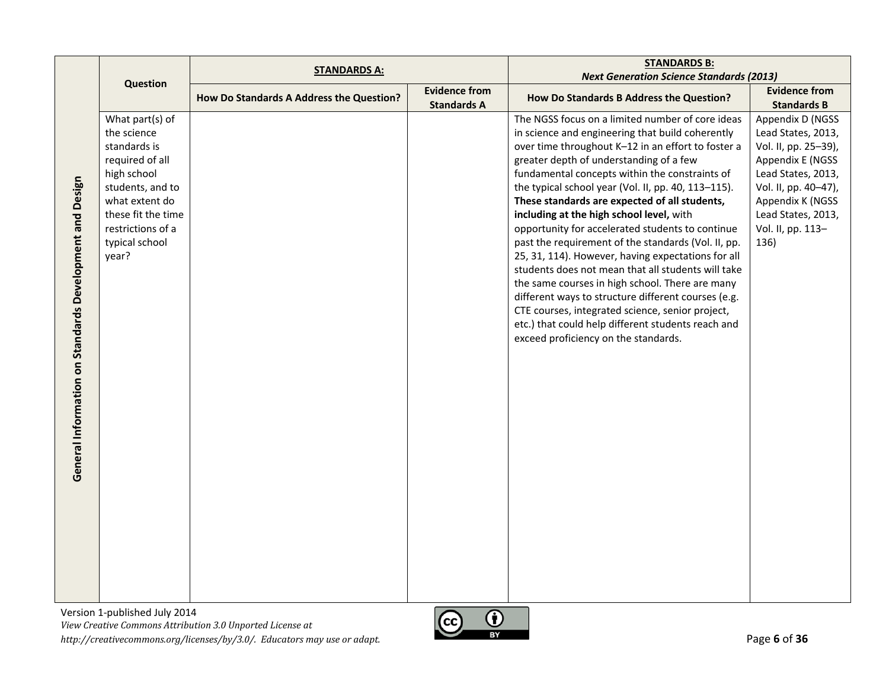|                                                         |                                                                                                                                                                                              | <b>STANDARDS A:</b>                      |                                            | <b>STANDARDS B:</b>                                                                                                                                                                                                                                                                                                                                                                                                                                                                                                                                                                                                                                                                                                                                                                                                                                                                            |                                                                                                                                                                                                         |
|---------------------------------------------------------|----------------------------------------------------------------------------------------------------------------------------------------------------------------------------------------------|------------------------------------------|--------------------------------------------|------------------------------------------------------------------------------------------------------------------------------------------------------------------------------------------------------------------------------------------------------------------------------------------------------------------------------------------------------------------------------------------------------------------------------------------------------------------------------------------------------------------------------------------------------------------------------------------------------------------------------------------------------------------------------------------------------------------------------------------------------------------------------------------------------------------------------------------------------------------------------------------------|---------------------------------------------------------------------------------------------------------------------------------------------------------------------------------------------------------|
|                                                         | <b>Question</b>                                                                                                                                                                              |                                          |                                            | <b>Next Generation Science Standards (2013)</b>                                                                                                                                                                                                                                                                                                                                                                                                                                                                                                                                                                                                                                                                                                                                                                                                                                                |                                                                                                                                                                                                         |
|                                                         |                                                                                                                                                                                              | How Do Standards A Address the Question? | <b>Evidence from</b><br><b>Standards A</b> | How Do Standards B Address the Question?                                                                                                                                                                                                                                                                                                                                                                                                                                                                                                                                                                                                                                                                                                                                                                                                                                                       | <b>Evidence from</b><br><b>Standards B</b>                                                                                                                                                              |
| General Information on Standards Development and Design | What part(s) of<br>the science<br>standards is<br>required of all<br>high school<br>students, and to<br>what extent do<br>these fit the time<br>restrictions of a<br>typical school<br>year? |                                          |                                            | The NGSS focus on a limited number of core ideas<br>in science and engineering that build coherently<br>over time throughout K-12 in an effort to foster a<br>greater depth of understanding of a few<br>fundamental concepts within the constraints of<br>the typical school year (Vol. II, pp. 40, 113-115).<br>These standards are expected of all students,<br>including at the high school level, with<br>opportunity for accelerated students to continue<br>past the requirement of the standards (Vol. II, pp.<br>25, 31, 114). However, having expectations for all<br>students does not mean that all students will take<br>the same courses in high school. There are many<br>different ways to structure different courses (e.g.<br>CTE courses, integrated science, senior project,<br>etc.) that could help different students reach and<br>exceed proficiency on the standards. | Appendix D (NGSS<br>Lead States, 2013,<br>Vol. II, pp. 25-39),<br>Appendix E (NGSS<br>Lead States, 2013,<br>Vol. II, pp. 40-47),<br>Appendix K (NGSS<br>Lead States, 2013,<br>Vol. II, pp. 113-<br>136) |
|                                                         |                                                                                                                                                                                              |                                          |                                            |                                                                                                                                                                                                                                                                                                                                                                                                                                                                                                                                                                                                                                                                                                                                                                                                                                                                                                |                                                                                                                                                                                                         |

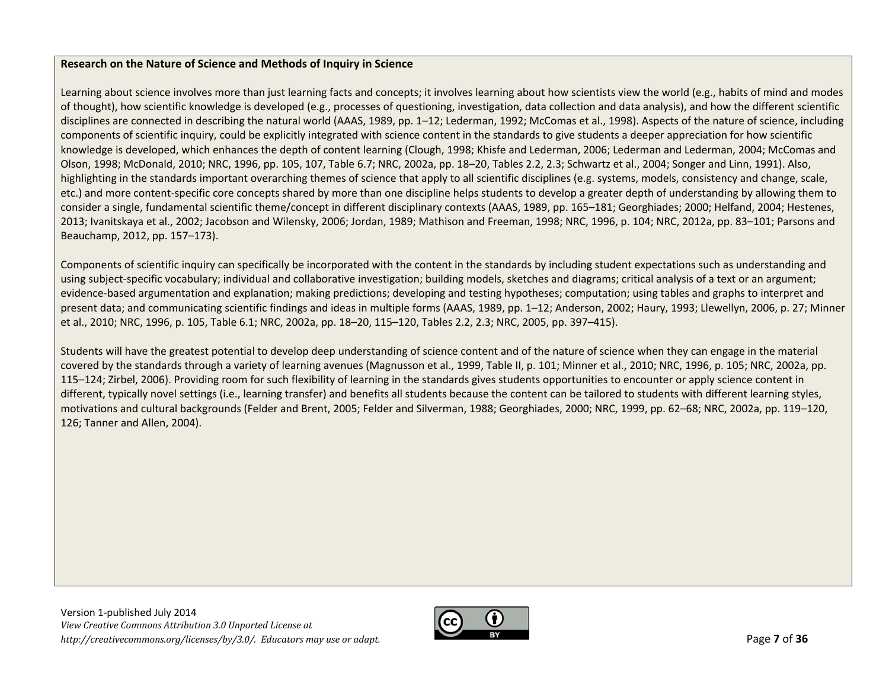### **Research on the Nature of Science and Methods of Inquiry in Science**

Learning about science involves more than just learning facts and concepts; it involves learning about how scientists view the world (e.g., habits of mind and modes of thought), how scientific knowledge is developed (e.g., processes of questioning, investigation, data collection and data analysis), and how the different scientific disciplines are connected in describing the natural world (AAAS, 1989, pp. 1–12; Lederman, 1992; McComas et al., 1998). Aspects of the nature of science, including components of scientific inquiry, could be explicitly integrated with science content in the standards to give students <sup>a</sup> deeper appreciation for how scientific knowledge is developed, which enhances the depth of content learning (Clough, 1998; Khisfe and Lederman, 2006; Lederman and Lederman, 2004; McComas and Olson, 1998; McDonald, 2010; NRC, 1996, pp. 105, 107, Table 6.7; NRC, 2002a, pp. 18–20, Tables 2.2, 2.3; Schwartz et al., 2004; Songer and Linn, 1991). Also, highlighting in the standards important overarching themes of science that apply to all scientific disciplines (e.g. systems, models, consistency and change, scale, etc.) and more content‐specific core concepts shared by more than one discipline helps students to develop <sup>a</sup> greater depth of understanding by allowing them to consider a single, fundamental scientific theme/concept in different disciplinary contexts (AAAS, 1989, pp. 165–181; Georghiades; 2000; Helfand, 2004; Hestenes, 2013; Ivanitskaya et al., 2002; Jacobson and Wilensky, 2006; Jordan, 1989; Mathison and Freeman, 1998; NRC, 1996, p. 104; NRC, 2012a, pp. 83–101; Parsons and Beauchamp, 2012, pp. 157–173).

Components of scientific inquiry can specifically be incorporated with the content in the standards by including student expectations such as understanding and using subject‐specific vocabulary; individual and collaborative investigation; building models, sketches and diagrams; critical analysis of <sup>a</sup> text or an argument; evidence‐based argumentation and explanation; making predictions; developing and testing hypotheses; computation; using tables and graphs to interpret and present data; and communicating scientific findings and ideas in multiple forms (AAAS, 1989, pp. 1–12; Anderson, 2002; Haury, 1993; Llewellyn, 2006, p. 27; Minner et al., 2010; NRC, 1996, p. 105, Table 6.1; NRC, 2002a, pp. 18–20, 115–120, Tables 2.2, 2.3; NRC, 2005, pp. 397–415).

Students will have the greatest potential to develop deep understanding of science content and of the nature of science when they can engage in the material covered by the standards through <sup>a</sup> variety of learning avenues (Magnusson et al., 1999, Table II, p. 101; Minner et al., 2010; NRC, 1996, p. 105; NRC, 2002a, pp. 115–124; Zirbel, 2006). Providing room for such flexibility of learning in the standards gives students opportunities to encounter or apply science content in different, typically novel settings (i.e., learning transfer) and benefits all students because the content can be tailored to students with different learning styles, motivations and cultural backgrounds (Felder and Brent, 2005; Felder and Silverman, 1988; Georghiades, 2000; NRC, 1999, pp. 62–68; NRC, 2002a, pp. 119–120, 126; Tanner and Allen, 2004).

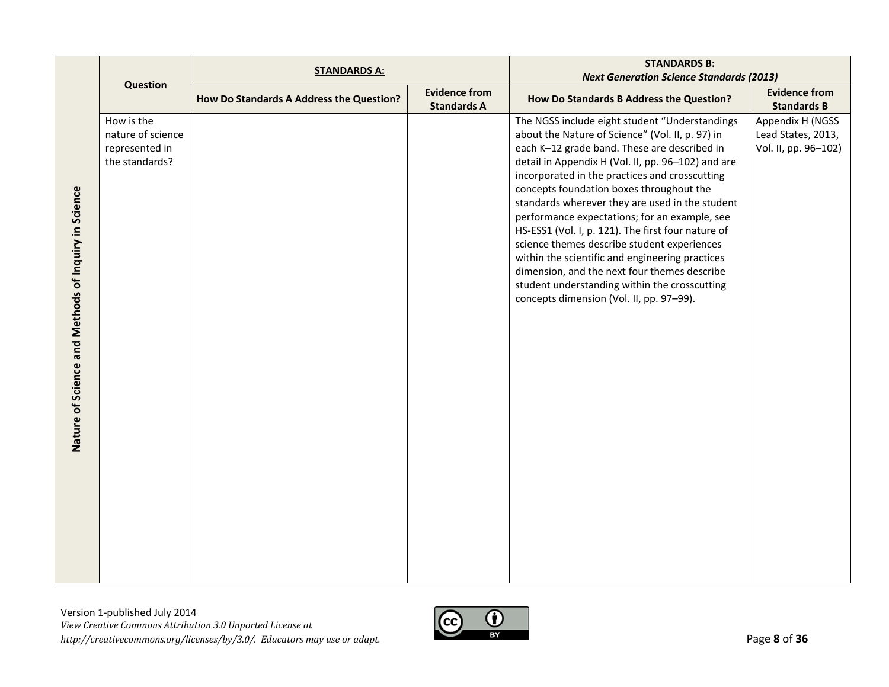|                                                     |                                                                     | <b>STANDARDS A:</b>                      |                                            | <b>STANDARDS B:</b>                                                                                                                                                                                                                                                                                                                                                                                                                                                                                                                                                                                                                                                                                             |                                                                |
|-----------------------------------------------------|---------------------------------------------------------------------|------------------------------------------|--------------------------------------------|-----------------------------------------------------------------------------------------------------------------------------------------------------------------------------------------------------------------------------------------------------------------------------------------------------------------------------------------------------------------------------------------------------------------------------------------------------------------------------------------------------------------------------------------------------------------------------------------------------------------------------------------------------------------------------------------------------------------|----------------------------------------------------------------|
|                                                     | <b>Question</b>                                                     |                                          |                                            | <b>Next Generation Science Standards (2013)</b>                                                                                                                                                                                                                                                                                                                                                                                                                                                                                                                                                                                                                                                                 |                                                                |
|                                                     |                                                                     | How Do Standards A Address the Question? | <b>Evidence from</b><br><b>Standards A</b> | How Do Standards B Address the Question?                                                                                                                                                                                                                                                                                                                                                                                                                                                                                                                                                                                                                                                                        | <b>Evidence from</b><br><b>Standards B</b>                     |
| Nature of Science and Methods of Inquiry in Science | How is the<br>nature of science<br>represented in<br>the standards? |                                          |                                            | The NGSS include eight student "Understandings<br>about the Nature of Science" (Vol. II, p. 97) in<br>each K-12 grade band. These are described in<br>detail in Appendix H (Vol. II, pp. 96-102) and are<br>incorporated in the practices and crosscutting<br>concepts foundation boxes throughout the<br>standards wherever they are used in the student<br>performance expectations; for an example, see<br>HS-ESS1 (Vol. I, p. 121). The first four nature of<br>science themes describe student experiences<br>within the scientific and engineering practices<br>dimension, and the next four themes describe<br>student understanding within the crosscutting<br>concepts dimension (Vol. II, pp. 97-99). | Appendix H (NGSS<br>Lead States, 2013,<br>Vol. II, pp. 96-102) |

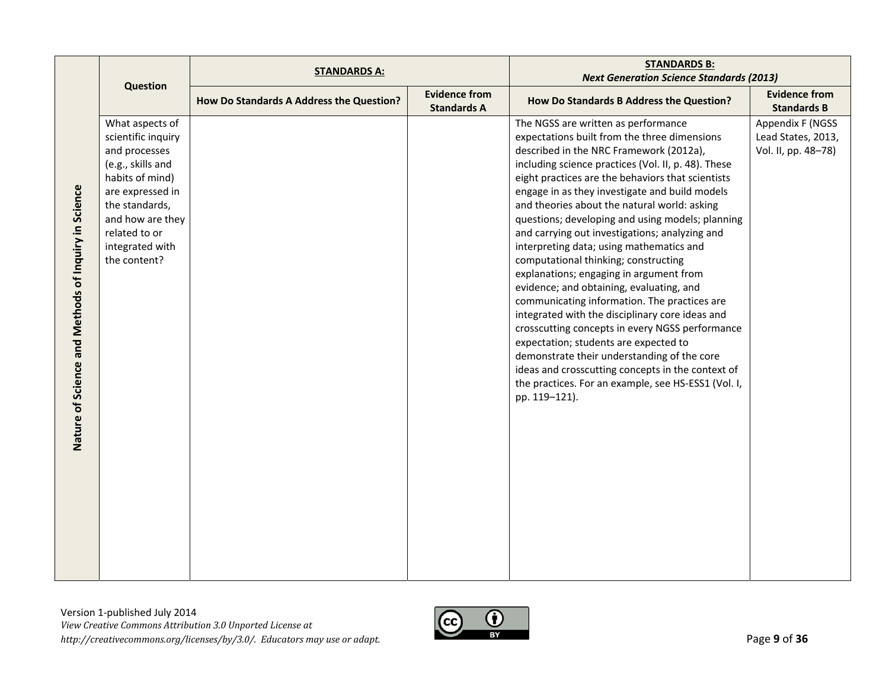|                                                     |                                                                                                                                                                                                              | <b>STANDARDS A:</b>                      |                                            | <b>STANDARDS B:</b>                                                                                                                                                                                                                                                                                                                                                                                                                                                                                                                                                                                                                                                                                                                                                                                                                                                                                                                                                                                      |                                                               |
|-----------------------------------------------------|--------------------------------------------------------------------------------------------------------------------------------------------------------------------------------------------------------------|------------------------------------------|--------------------------------------------|----------------------------------------------------------------------------------------------------------------------------------------------------------------------------------------------------------------------------------------------------------------------------------------------------------------------------------------------------------------------------------------------------------------------------------------------------------------------------------------------------------------------------------------------------------------------------------------------------------------------------------------------------------------------------------------------------------------------------------------------------------------------------------------------------------------------------------------------------------------------------------------------------------------------------------------------------------------------------------------------------------|---------------------------------------------------------------|
|                                                     | Question                                                                                                                                                                                                     |                                          |                                            | <b>Next Generation Science Standards (2013)</b>                                                                                                                                                                                                                                                                                                                                                                                                                                                                                                                                                                                                                                                                                                                                                                                                                                                                                                                                                          |                                                               |
|                                                     |                                                                                                                                                                                                              | How Do Standards A Address the Question? | <b>Evidence from</b><br><b>Standards A</b> | How Do Standards B Address the Question?                                                                                                                                                                                                                                                                                                                                                                                                                                                                                                                                                                                                                                                                                                                                                                                                                                                                                                                                                                 | <b>Evidence from</b><br><b>Standards B</b>                    |
| Nature of Science and Methods of Inquiry in Science | What aspects of<br>scientific inquiry<br>and processes<br>(e.g., skills and<br>habits of mind)<br>are expressed in<br>the standards,<br>and how are they<br>related to or<br>integrated with<br>the content? |                                          |                                            | The NGSS are written as performance<br>expectations built from the three dimensions<br>described in the NRC Framework (2012a),<br>including science practices (Vol. II, p. 48). These<br>eight practices are the behaviors that scientists<br>engage in as they investigate and build models<br>and theories about the natural world: asking<br>questions; developing and using models; planning<br>and carrying out investigations; analyzing and<br>interpreting data; using mathematics and<br>computational thinking; constructing<br>explanations; engaging in argument from<br>evidence; and obtaining, evaluating, and<br>communicating information. The practices are<br>integrated with the disciplinary core ideas and<br>crosscutting concepts in every NGSS performance<br>expectation; students are expected to<br>demonstrate their understanding of the core<br>ideas and crosscutting concepts in the context of<br>the practices. For an example, see HS-ESS1 (Vol. I,<br>pp. 119-121). | Appendix F (NGSS<br>Lead States, 2013,<br>Vol. II, pp. 48-78) |

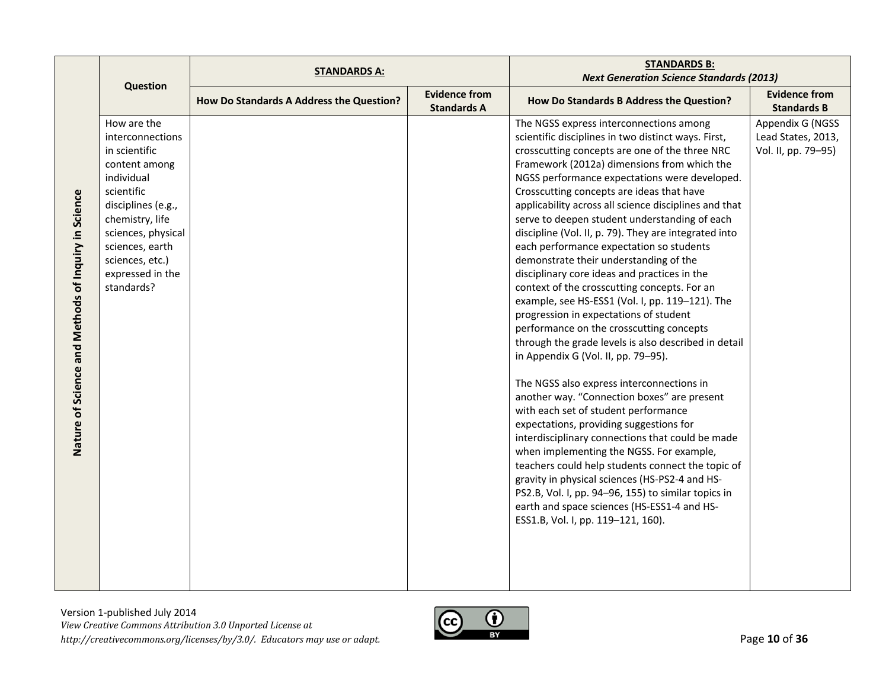|                                                     |                                                                                                                                                                                                                                      | <b>STANDARDS A:</b>                      |                                            | <b>STANDARDS B:</b>                                                                                                                                                                                                                                                                                                                                                                                                                                                                                                                                                                                                                                                                                                                                                                                                                                                                                                                                                                                                                                                                                                                                                                                                                                                                                                                                                                                                              |                                                               |
|-----------------------------------------------------|--------------------------------------------------------------------------------------------------------------------------------------------------------------------------------------------------------------------------------------|------------------------------------------|--------------------------------------------|----------------------------------------------------------------------------------------------------------------------------------------------------------------------------------------------------------------------------------------------------------------------------------------------------------------------------------------------------------------------------------------------------------------------------------------------------------------------------------------------------------------------------------------------------------------------------------------------------------------------------------------------------------------------------------------------------------------------------------------------------------------------------------------------------------------------------------------------------------------------------------------------------------------------------------------------------------------------------------------------------------------------------------------------------------------------------------------------------------------------------------------------------------------------------------------------------------------------------------------------------------------------------------------------------------------------------------------------------------------------------------------------------------------------------------|---------------------------------------------------------------|
|                                                     | <b>Question</b>                                                                                                                                                                                                                      |                                          |                                            | <b>Next Generation Science Standards (2013)</b>                                                                                                                                                                                                                                                                                                                                                                                                                                                                                                                                                                                                                                                                                                                                                                                                                                                                                                                                                                                                                                                                                                                                                                                                                                                                                                                                                                                  |                                                               |
|                                                     |                                                                                                                                                                                                                                      | How Do Standards A Address the Question? | <b>Evidence from</b><br><b>Standards A</b> | How Do Standards B Address the Question?                                                                                                                                                                                                                                                                                                                                                                                                                                                                                                                                                                                                                                                                                                                                                                                                                                                                                                                                                                                                                                                                                                                                                                                                                                                                                                                                                                                         | <b>Evidence from</b><br><b>Standards B</b>                    |
| Nature of Science and Methods of Inquiry in Science | How are the<br>interconnections<br>in scientific<br>content among<br>individual<br>scientific<br>disciplines (e.g.,<br>chemistry, life<br>sciences, physical<br>sciences, earth<br>sciences, etc.)<br>expressed in the<br>standards? |                                          |                                            | The NGSS express interconnections among<br>scientific disciplines in two distinct ways. First,<br>crosscutting concepts are one of the three NRC<br>Framework (2012a) dimensions from which the<br>NGSS performance expectations were developed.<br>Crosscutting concepts are ideas that have<br>applicability across all science disciplines and that<br>serve to deepen student understanding of each<br>discipline (Vol. II, p. 79). They are integrated into<br>each performance expectation so students<br>demonstrate their understanding of the<br>disciplinary core ideas and practices in the<br>context of the crosscutting concepts. For an<br>example, see HS-ESS1 (Vol. I, pp. 119-121). The<br>progression in expectations of student<br>performance on the crosscutting concepts<br>through the grade levels is also described in detail<br>in Appendix G (Vol. II, pp. 79-95).<br>The NGSS also express interconnections in<br>another way. "Connection boxes" are present<br>with each set of student performance<br>expectations, providing suggestions for<br>interdisciplinary connections that could be made<br>when implementing the NGSS. For example,<br>teachers could help students connect the topic of<br>gravity in physical sciences (HS-PS2-4 and HS-<br>PS2.B, Vol. I, pp. 94-96, 155) to similar topics in<br>earth and space sciences (HS-ESS1-4 and HS-<br>ESS1.B, Vol. I, pp. 119-121, 160). | Appendix G (NGSS<br>Lead States, 2013,<br>Vol. II, pp. 79-95) |

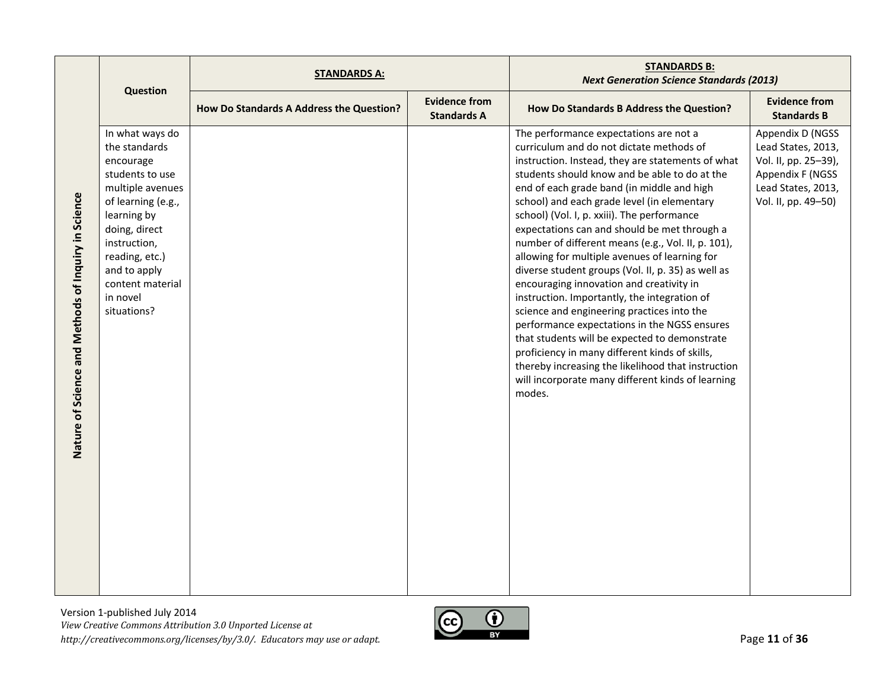|                                                     |                                                                                                                                                                                                                                             | <b>STANDARDS A:</b>                      |                                            | <b>STANDARDS B:</b><br><b>Next Generation Science Standards (2013)</b>                                                                                                                                                                                                                                                                                                                                                                                                                                                                                                                                                                                                                                                                                                                                                                                                                                                                                              |                                                                                                                                 |
|-----------------------------------------------------|---------------------------------------------------------------------------------------------------------------------------------------------------------------------------------------------------------------------------------------------|------------------------------------------|--------------------------------------------|---------------------------------------------------------------------------------------------------------------------------------------------------------------------------------------------------------------------------------------------------------------------------------------------------------------------------------------------------------------------------------------------------------------------------------------------------------------------------------------------------------------------------------------------------------------------------------------------------------------------------------------------------------------------------------------------------------------------------------------------------------------------------------------------------------------------------------------------------------------------------------------------------------------------------------------------------------------------|---------------------------------------------------------------------------------------------------------------------------------|
|                                                     | Question                                                                                                                                                                                                                                    | How Do Standards A Address the Question? | <b>Evidence from</b><br><b>Standards A</b> | How Do Standards B Address the Question?                                                                                                                                                                                                                                                                                                                                                                                                                                                                                                                                                                                                                                                                                                                                                                                                                                                                                                                            | <b>Evidence from</b><br><b>Standards B</b>                                                                                      |
| Nature of Science and Methods of Inquiry in Science | In what ways do<br>the standards<br>encourage<br>students to use<br>multiple avenues<br>of learning (e.g.,<br>learning by<br>doing, direct<br>instruction,<br>reading, etc.)<br>and to apply<br>content material<br>in novel<br>situations? |                                          |                                            | The performance expectations are not a<br>curriculum and do not dictate methods of<br>instruction. Instead, they are statements of what<br>students should know and be able to do at the<br>end of each grade band (in middle and high<br>school) and each grade level (in elementary<br>school) (Vol. I, p. xxiii). The performance<br>expectations can and should be met through a<br>number of different means (e.g., Vol. II, p. 101),<br>allowing for multiple avenues of learning for<br>diverse student groups (Vol. II, p. 35) as well as<br>encouraging innovation and creativity in<br>instruction. Importantly, the integration of<br>science and engineering practices into the<br>performance expectations in the NGSS ensures<br>that students will be expected to demonstrate<br>proficiency in many different kinds of skills,<br>thereby increasing the likelihood that instruction<br>will incorporate many different kinds of learning<br>modes. | Appendix D (NGSS<br>Lead States, 2013,<br>Vol. II, pp. 25-39),<br>Appendix F (NGSS<br>Lead States, 2013,<br>Vol. II, pp. 49-50) |

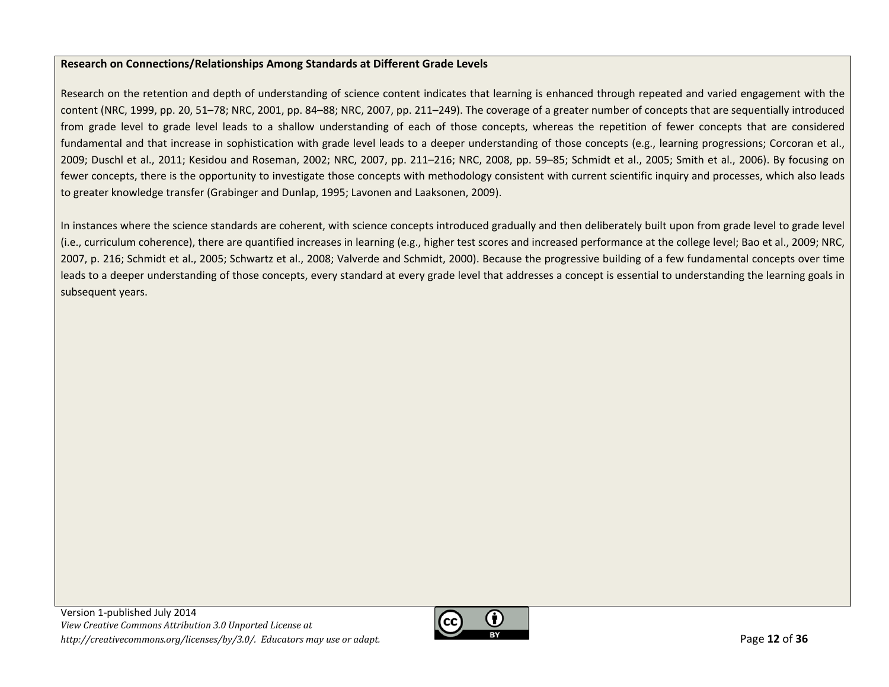#### **Research on Connections/Relationships Among Standards at Different Grade Levels**

Research on the retention and depth of understanding of science content indicates that learning is enhanced through repeated and varied engagement with the content (NRC, 1999, pp. 20, 51–78; NRC, 2001, pp. 84–88; NRC, 2007, pp. 211–249). The coverage of <sup>a</sup> greater number of concepts that are sequentially introduced from grade level to grade level leads to <sup>a</sup> shallow understanding of each of those concepts, whereas the repetition of fewer concepts that are considered fundamental and that increase in sophistication with grade level leads to <sup>a</sup> deeper understanding of those concepts (e.g., learning progressions; Corcoran et al., 2009; Duschl et al., 2011; Kesidou and Roseman, 2002; NRC, 2007, pp. 211–216; NRC, 2008, pp. 59–85; Schmidt et al., 2005; Smith et al., 2006). By focusing on fewer concepts, there is the opportunity to investigate those concepts with methodology consistent with current scientific inquiry and processes, which also leads to greater knowledge transfer (Grabinger and Dunlap, 1995; Lavonen and Laaksonen, 2009).

In instances where the science standards are coherent, with science concepts introduced gradually and then deliberately built upon from grade level to grade level (i.e., curriculum coherence), there are quantified increases in learning (e.g., higher test scores and increased performance at the college level; Bao et al., 2009; NRC, 2007, p. 216; Schmidt et al., 2005; Schwartz et al., 2008; Valverde and Schmidt, 2000). Because the progressive building of <sup>a</sup> few fundamental concepts over time leads to <sup>a</sup> deeper understanding of those concepts, every standard at every grade level that addresses <sup>a</sup> concept is essential to understanding the learning goals in subsequent years.

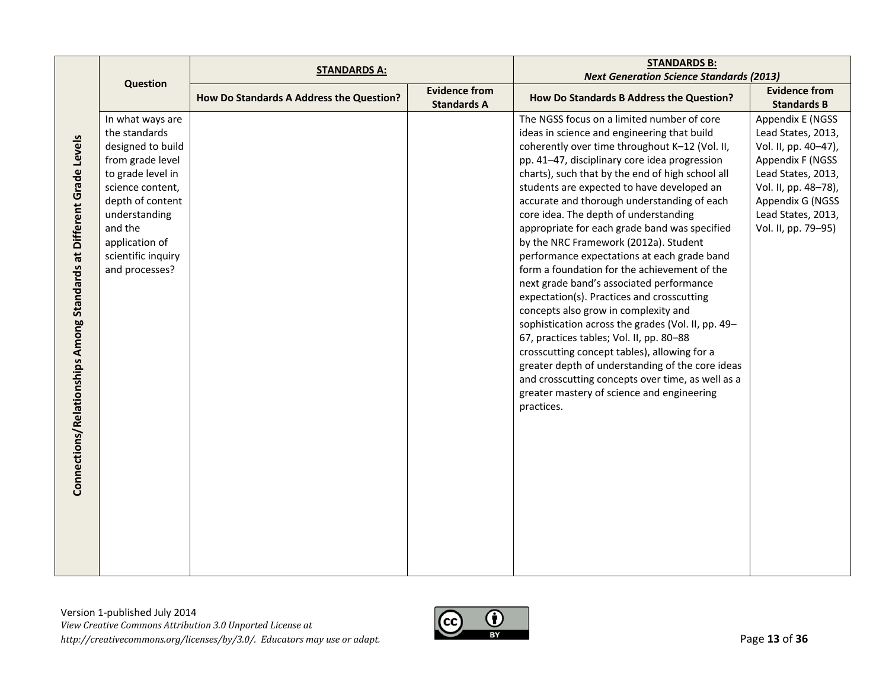|                                                                     |                    | <b>STANDARDS A:</b>                      |                                            | <b>STANDARDS B:</b>                                |                                            |
|---------------------------------------------------------------------|--------------------|------------------------------------------|--------------------------------------------|----------------------------------------------------|--------------------------------------------|
|                                                                     | <b>Question</b>    |                                          |                                            | <b>Next Generation Science Standards (2013)</b>    |                                            |
|                                                                     |                    | How Do Standards A Address the Question? | <b>Evidence from</b><br><b>Standards A</b> | How Do Standards B Address the Question?           | <b>Evidence from</b><br><b>Standards B</b> |
|                                                                     | In what ways are   |                                          |                                            | The NGSS focus on a limited number of core         | Appendix E (NGSS                           |
|                                                                     | the standards      |                                          |                                            | ideas in science and engineering that build        | Lead States, 2013,                         |
|                                                                     | designed to build  |                                          |                                            | coherently over time throughout K-12 (Vol. II,     | Vol. II, pp. 40-47),                       |
|                                                                     | from grade level   |                                          |                                            | pp. 41-47, disciplinary core idea progression      | Appendix F (NGSS                           |
|                                                                     | to grade level in  |                                          |                                            | charts), such that by the end of high school all   | Lead States, 2013,                         |
|                                                                     | science content,   |                                          |                                            | students are expected to have developed an         | Vol. II, pp. 48-78),                       |
|                                                                     | depth of content   |                                          |                                            | accurate and thorough understanding of each        | Appendix G (NGSS                           |
|                                                                     | understanding      |                                          |                                            | core idea. The depth of understanding              | Lead States, 2013,                         |
|                                                                     | and the            |                                          |                                            | appropriate for each grade band was specified      | Vol. II, pp. 79-95)                        |
|                                                                     | application of     |                                          |                                            | by the NRC Framework (2012a). Student              |                                            |
|                                                                     | scientific inquiry |                                          |                                            | performance expectations at each grade band        |                                            |
| Connections/Relationships Among Standards at Different Grade Levels | and processes?     |                                          |                                            | form a foundation for the achievement of the       |                                            |
|                                                                     |                    |                                          |                                            | next grade band's associated performance           |                                            |
|                                                                     |                    |                                          |                                            | expectation(s). Practices and crosscutting         |                                            |
|                                                                     |                    |                                          |                                            | concepts also grow in complexity and               |                                            |
|                                                                     |                    |                                          |                                            | sophistication across the grades (Vol. II, pp. 49- |                                            |
|                                                                     |                    |                                          |                                            | 67, practices tables; Vol. II, pp. 80-88           |                                            |
|                                                                     |                    |                                          |                                            | crosscutting concept tables), allowing for a       |                                            |
|                                                                     |                    |                                          |                                            | greater depth of understanding of the core ideas   |                                            |
|                                                                     |                    |                                          |                                            | and crosscutting concepts over time, as well as a  |                                            |
|                                                                     |                    |                                          |                                            | greater mastery of science and engineering         |                                            |
|                                                                     |                    |                                          |                                            | practices.                                         |                                            |
|                                                                     |                    |                                          |                                            |                                                    |                                            |
|                                                                     |                    |                                          |                                            |                                                    |                                            |
|                                                                     |                    |                                          |                                            |                                                    |                                            |
|                                                                     |                    |                                          |                                            |                                                    |                                            |
|                                                                     |                    |                                          |                                            |                                                    |                                            |
|                                                                     |                    |                                          |                                            |                                                    |                                            |
|                                                                     |                    |                                          |                                            |                                                    |                                            |
|                                                                     |                    |                                          |                                            |                                                    |                                            |
|                                                                     |                    |                                          |                                            |                                                    |                                            |
|                                                                     |                    |                                          |                                            |                                                    |                                            |
|                                                                     |                    |                                          |                                            |                                                    |                                            |

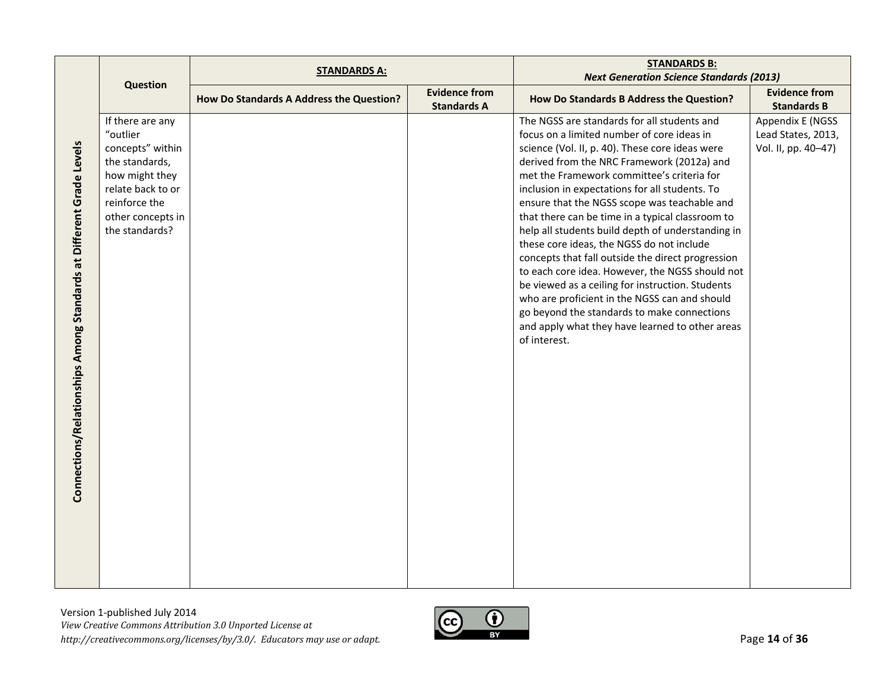|                                                                     |                                                                                                                                                                   | <b>STANDARDS A:</b>                      |                                            | <b>STANDARDS B:</b><br><b>Next Generation Science Standards (2013)</b>                                                                                                                                                                                                                                                                                                                                                                                                                                                                                                                                                                                                                                                                                                                                                          |                                                               |
|---------------------------------------------------------------------|-------------------------------------------------------------------------------------------------------------------------------------------------------------------|------------------------------------------|--------------------------------------------|---------------------------------------------------------------------------------------------------------------------------------------------------------------------------------------------------------------------------------------------------------------------------------------------------------------------------------------------------------------------------------------------------------------------------------------------------------------------------------------------------------------------------------------------------------------------------------------------------------------------------------------------------------------------------------------------------------------------------------------------------------------------------------------------------------------------------------|---------------------------------------------------------------|
|                                                                     | Question                                                                                                                                                          | How Do Standards A Address the Question? | <b>Evidence from</b><br><b>Standards A</b> | How Do Standards B Address the Question?                                                                                                                                                                                                                                                                                                                                                                                                                                                                                                                                                                                                                                                                                                                                                                                        | <b>Evidence from</b><br><b>Standards B</b>                    |
| Connections/Relationships Among Standards at Different Grade Levels | If there are any<br>"outlier<br>concepts" within<br>the standards,<br>how might they<br>relate back to or<br>reinforce the<br>other concepts in<br>the standards? |                                          |                                            | The NGSS are standards for all students and<br>focus on a limited number of core ideas in<br>science (Vol. II, p. 40). These core ideas were<br>derived from the NRC Framework (2012a) and<br>met the Framework committee's criteria for<br>inclusion in expectations for all students. To<br>ensure that the NGSS scope was teachable and<br>that there can be time in a typical classroom to<br>help all students build depth of understanding in<br>these core ideas, the NGSS do not include<br>concepts that fall outside the direct progression<br>to each core idea. However, the NGSS should not<br>be viewed as a ceiling for instruction. Students<br>who are proficient in the NGSS can and should<br>go beyond the standards to make connections<br>and apply what they have learned to other areas<br>of interest. | Appendix E (NGSS<br>Lead States, 2013,<br>Vol. II, pp. 40-47) |

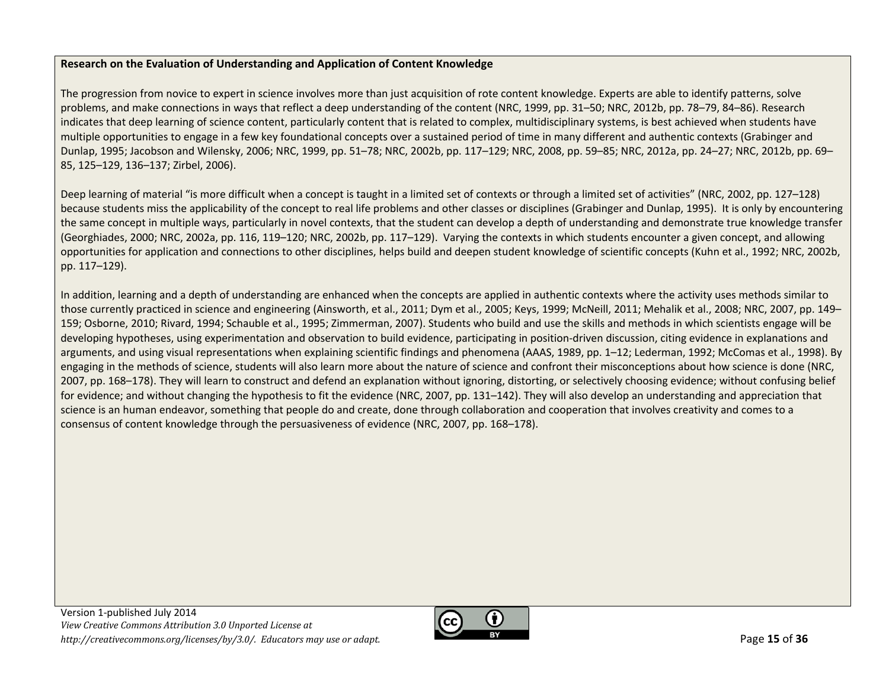# **Research on the Evaluation of Understanding and Application of Content Knowledge**

The progression from novice to expert in science involves more than just acquisition of rote content knowledge. Experts are able to identify patterns, solve problems, and make connections in ways that reflect <sup>a</sup> deep understanding of the content (NRC, 1999, pp. 31–50; NRC, 2012b, pp. 78–79, 84–86). Research indicates that deep learning of science content, particularly content that is related to complex, multidisciplinary systems, is best achieved when students have multiple opportunities to engage in <sup>a</sup> few key foundational concepts over <sup>a</sup> sustained period of time in many different and authentic contexts (Grabinger and Dunlap, 1995; Jacobson and Wilensky, 2006; NRC, 1999, pp. 51–78; NRC, 2002b, pp. 117–129; NRC, 2008, pp. 59–85; NRC, 2012a, pp. 24–27; NRC, 2012b, pp. 69– 85, 125–129, 136–137; Zirbel, 2006).

Deep learning of material "is more difficult when a concept is taught in a limited set of contexts or through a limited set of activities" (NRC, 2002, pp. 127–128) because students miss the applicability of the concept to real life problems and other classes or disciplines (Grabinger and Dunlap, 1995). It is only by encountering the same concept in multiple ways, particularly in novel contexts, that the student can develop <sup>a</sup> depth of understanding and demonstrate true knowledge transfer (Georghiades, 2000; NRC, 2002a, pp. 116, 119–120; NRC, 2002b, pp. 117–129). Varying the contexts in which students encounter <sup>a</sup> given concept, and allowing opportunities for application and connections to other disciplines, helps build and deepen student knowledge of scientific concepts (Kuhn et al., 1992; NRC, 2002b, pp. 117–129).

In addition, learning and <sup>a</sup> depth of understanding are enhanced when the concepts are applied in authentic contexts where the activity uses methods similar to those currently practiced in science and engineering (Ainsworth, et al., 2011; Dym et al., 2005; Keys, 1999; McNeill, 2011; Mehalik et al., 2008; NRC, 2007, pp. 149– 159; Osborne, 2010; Rivard, 1994; Schauble et al., 1995; Zimmerman, 2007). Students who build and use the skills and methods in which scientists engage will be developing hypotheses, using experimentation and observation to build evidence, participating in position-driven discussion, citing evidence in explanations and arguments, and using visual representations when explaining scientific findings and phenomena (AAAS, 1989, pp. 1–12; Lederman, 1992; McComas et al., 1998). By engaging in the methods of science, students will also learn more about the nature of science and confront their misconceptions about how science is done (NRC, 2007, pp. 168–178). They will learn to construct and defend an explanation without ignoring, distorting, or selectively choosing evidence; without confusing belief for evidence; and without changing the hypothesis to fit the evidence (NRC, 2007, pp. 131–142). They will also develop an understanding and appreciation that science is an human endeavor, something that people do and create, done through collaboration and cooperation that involves creativity and comes to <sup>a</sup> consensus of content knowledge through the persuasiveness of evidence (NRC, 2007, pp. 168–178).

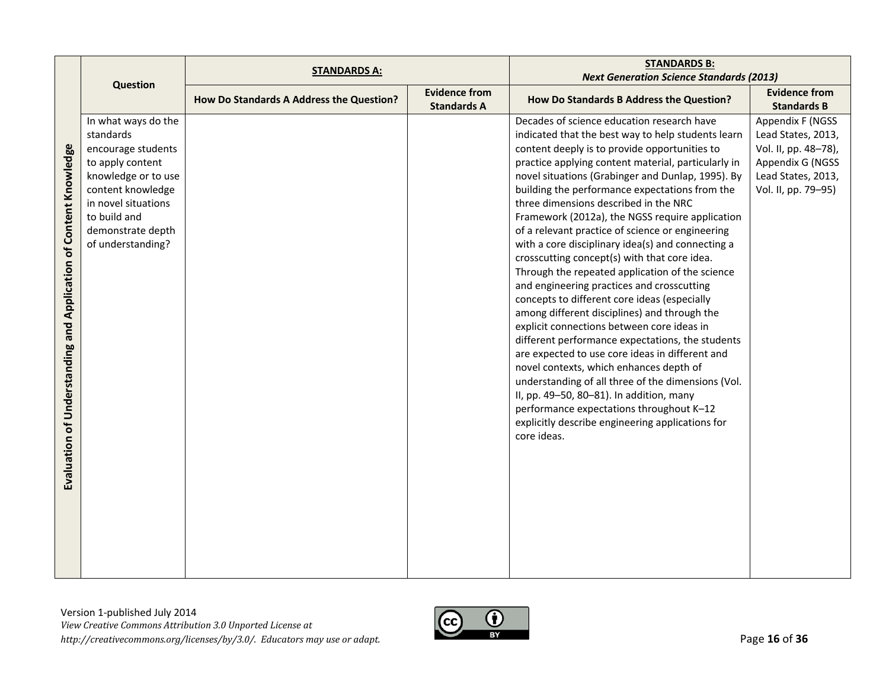|                                      |                     | <b>STANDARDS A:</b>                      |                                            | <b>STANDARDS B:</b>                                 |                                            |
|--------------------------------------|---------------------|------------------------------------------|--------------------------------------------|-----------------------------------------------------|--------------------------------------------|
|                                      | <b>Question</b>     |                                          |                                            | <b>Next Generation Science Standards (2013)</b>     |                                            |
|                                      |                     | How Do Standards A Address the Question? | <b>Evidence from</b><br><b>Standards A</b> | How Do Standards B Address the Question?            | <b>Evidence from</b><br><b>Standards B</b> |
|                                      | In what ways do the |                                          |                                            | Decades of science education research have          | Appendix F (NGSS                           |
|                                      | standards           |                                          |                                            | indicated that the best way to help students learn  | Lead States, 2013,                         |
|                                      | encourage students  |                                          |                                            | content deeply is to provide opportunities to       | Vol. II, pp. 48-78),                       |
|                                      | to apply content    |                                          |                                            | practice applying content material, particularly in | Appendix G (NGSS                           |
|                                      | knowledge or to use |                                          |                                            | novel situations (Grabinger and Dunlap, 1995). By   | Lead States, 2013,                         |
| of Content Knowledge                 | content knowledge   |                                          |                                            | building the performance expectations from the      | Vol. II, pp. 79-95)                        |
|                                      | in novel situations |                                          |                                            | three dimensions described in the NRC               |                                            |
|                                      | to build and        |                                          |                                            | Framework (2012a), the NGSS require application     |                                            |
|                                      | demonstrate depth   |                                          |                                            | of a relevant practice of science or engineering    |                                            |
|                                      | of understanding?   |                                          |                                            | with a core disciplinary idea(s) and connecting a   |                                            |
|                                      |                     |                                          |                                            | crosscutting concept(s) with that core idea.        |                                            |
|                                      |                     |                                          |                                            | Through the repeated application of the science     |                                            |
|                                      |                     |                                          |                                            | and engineering practices and crosscutting          |                                            |
|                                      |                     |                                          |                                            | concepts to different core ideas (especially        |                                            |
| <b>Understanding and Application</b> |                     |                                          |                                            | among different disciplines) and through the        |                                            |
|                                      |                     |                                          |                                            | explicit connections between core ideas in          |                                            |
|                                      |                     |                                          |                                            | different performance expectations, the students    |                                            |
|                                      |                     |                                          |                                            | are expected to use core ideas in different and     |                                            |
|                                      |                     |                                          |                                            | novel contexts, which enhances depth of             |                                            |
|                                      |                     |                                          |                                            | understanding of all three of the dimensions (Vol.  |                                            |
|                                      |                     |                                          |                                            | II, pp. 49-50, 80-81). In addition, many            |                                            |
|                                      |                     |                                          |                                            | performance expectations throughout K-12            |                                            |
|                                      |                     |                                          |                                            | explicitly describe engineering applications for    |                                            |
| Evaluation of                        |                     |                                          |                                            | core ideas.                                         |                                            |
|                                      |                     |                                          |                                            |                                                     |                                            |
|                                      |                     |                                          |                                            |                                                     |                                            |
|                                      |                     |                                          |                                            |                                                     |                                            |
|                                      |                     |                                          |                                            |                                                     |                                            |
|                                      |                     |                                          |                                            |                                                     |                                            |
|                                      |                     |                                          |                                            |                                                     |                                            |
|                                      |                     |                                          |                                            |                                                     |                                            |
|                                      |                     |                                          |                                            |                                                     |                                            |
|                                      |                     |                                          |                                            |                                                     |                                            |

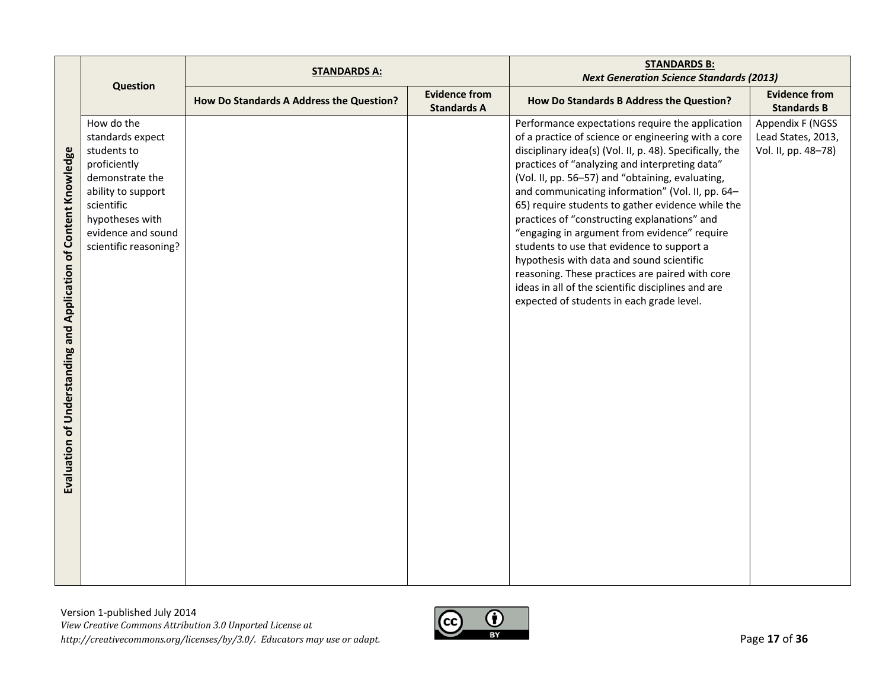|                                                                            |                                                                                                                                                                                        | <b>STANDARDS A:</b>                      |                                            | <b>STANDARDS B:</b>                                                                                                                                                                                                                                                                                                                                                                                                                                                                                                                                                                                                                                                                                                                 |                                                               |
|----------------------------------------------------------------------------|----------------------------------------------------------------------------------------------------------------------------------------------------------------------------------------|------------------------------------------|--------------------------------------------|-------------------------------------------------------------------------------------------------------------------------------------------------------------------------------------------------------------------------------------------------------------------------------------------------------------------------------------------------------------------------------------------------------------------------------------------------------------------------------------------------------------------------------------------------------------------------------------------------------------------------------------------------------------------------------------------------------------------------------------|---------------------------------------------------------------|
|                                                                            | <b>Question</b>                                                                                                                                                                        |                                          |                                            | <b>Next Generation Science Standards (2013)</b>                                                                                                                                                                                                                                                                                                                                                                                                                                                                                                                                                                                                                                                                                     |                                                               |
|                                                                            |                                                                                                                                                                                        | How Do Standards A Address the Question? | <b>Evidence from</b><br><b>Standards A</b> | How Do Standards B Address the Question?                                                                                                                                                                                                                                                                                                                                                                                                                                                                                                                                                                                                                                                                                            | <b>Evidence from</b><br><b>Standards B</b>                    |
| and Application of Content Knowledge<br><b>Evaluation of Understanding</b> | How do the<br>standards expect<br>students to<br>proficiently<br>demonstrate the<br>ability to support<br>scientific<br>hypotheses with<br>evidence and sound<br>scientific reasoning? |                                          |                                            | Performance expectations require the application<br>of a practice of science or engineering with a core<br>disciplinary idea(s) (Vol. II, p. 48). Specifically, the<br>practices of "analyzing and interpreting data"<br>(Vol. II, pp. 56-57) and "obtaining, evaluating,<br>and communicating information" (Vol. II, pp. 64-<br>65) require students to gather evidence while the<br>practices of "constructing explanations" and<br>"engaging in argument from evidence" require<br>students to use that evidence to support a<br>hypothesis with data and sound scientific<br>reasoning. These practices are paired with core<br>ideas in all of the scientific disciplines and are<br>expected of students in each grade level. | Appendix F (NGSS<br>Lead States, 2013,<br>Vol. II, pp. 48-78) |

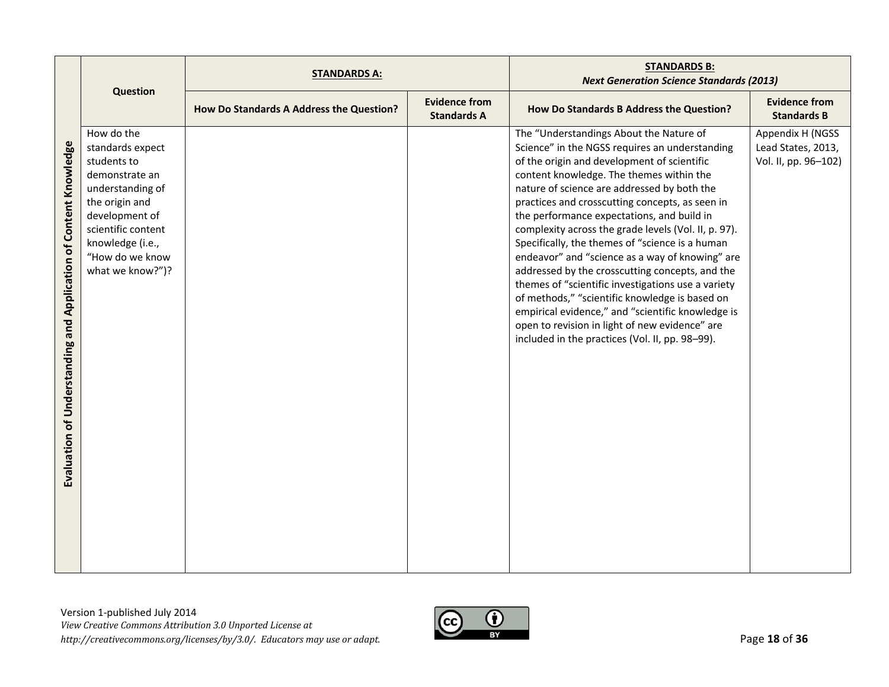|                                                                                     |                                                                                                                                                                                                          | <b>STANDARDS A:</b>                      |                                            | <b>STANDARDS B:</b><br><b>Next Generation Science Standards (2013)</b>                                                                                                                                                                                                                                                                                                                                                                                                                                                                                                                                                                                                                                                                                                                                                  |                                                                |
|-------------------------------------------------------------------------------------|----------------------------------------------------------------------------------------------------------------------------------------------------------------------------------------------------------|------------------------------------------|--------------------------------------------|-------------------------------------------------------------------------------------------------------------------------------------------------------------------------------------------------------------------------------------------------------------------------------------------------------------------------------------------------------------------------------------------------------------------------------------------------------------------------------------------------------------------------------------------------------------------------------------------------------------------------------------------------------------------------------------------------------------------------------------------------------------------------------------------------------------------------|----------------------------------------------------------------|
|                                                                                     | <b>Question</b>                                                                                                                                                                                          | How Do Standards A Address the Question? | <b>Evidence from</b><br><b>Standards A</b> | How Do Standards B Address the Question?                                                                                                                                                                                                                                                                                                                                                                                                                                                                                                                                                                                                                                                                                                                                                                                | <b>Evidence from</b><br><b>Standards B</b>                     |
| and Application of Content Knowledge<br>Understanding<br>$\mathbf{b}$<br>Evaluation | How do the<br>standards expect<br>students to<br>demonstrate an<br>understanding of<br>the origin and<br>development of<br>scientific content<br>knowledge (i.e.,<br>"How do we know<br>what we know?")? |                                          |                                            | The "Understandings About the Nature of<br>Science" in the NGSS requires an understanding<br>of the origin and development of scientific<br>content knowledge. The themes within the<br>nature of science are addressed by both the<br>practices and crosscutting concepts, as seen in<br>the performance expectations, and build in<br>complexity across the grade levels (Vol. II, p. 97).<br>Specifically, the themes of "science is a human<br>endeavor" and "science as a way of knowing" are<br>addressed by the crosscutting concepts, and the<br>themes of "scientific investigations use a variety<br>of methods," "scientific knowledge is based on<br>empirical evidence," and "scientific knowledge is<br>open to revision in light of new evidence" are<br>included in the practices (Vol. II, pp. 98-99). | Appendix H (NGSS<br>Lead States, 2013,<br>Vol. II, pp. 96-102) |

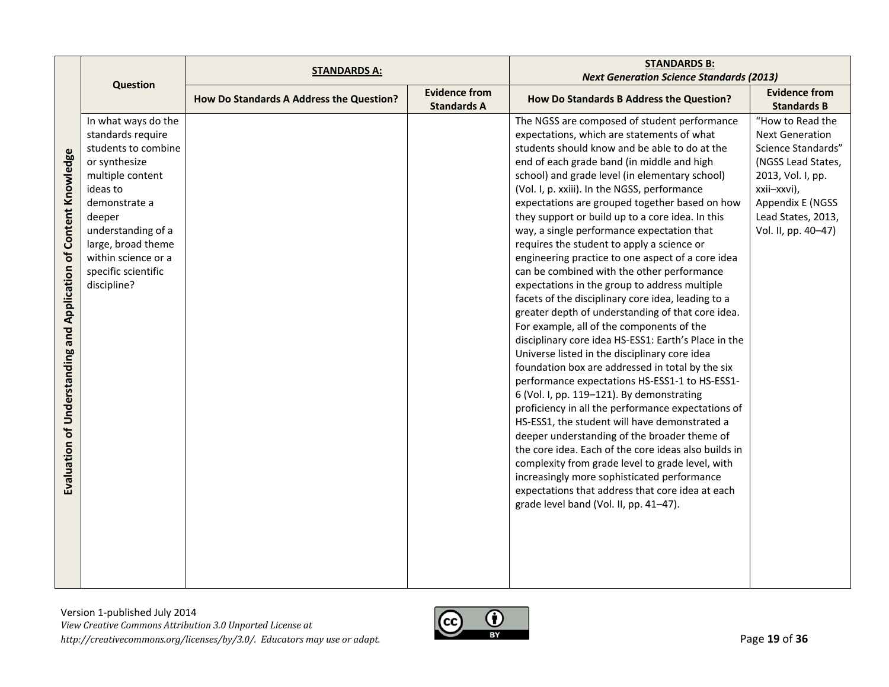|                                                                  |                     | <b>STANDARDS A:</b>                      |                                            | <b>STANDARDS B:</b>                                  |                                            |
|------------------------------------------------------------------|---------------------|------------------------------------------|--------------------------------------------|------------------------------------------------------|--------------------------------------------|
|                                                                  | <b>Question</b>     |                                          |                                            | <b>Next Generation Science Standards (2013)</b>      |                                            |
|                                                                  |                     | How Do Standards A Address the Question? | <b>Evidence from</b><br><b>Standards A</b> | How Do Standards B Address the Question?             | <b>Evidence from</b><br><b>Standards B</b> |
|                                                                  | In what ways do the |                                          |                                            | The NGSS are composed of student performance         | "How to Read the                           |
|                                                                  | standards require   |                                          |                                            | expectations, which are statements of what           | <b>Next Generation</b>                     |
|                                                                  | students to combine |                                          |                                            | students should know and be able to do at the        | Science Standards"                         |
|                                                                  | or synthesize       |                                          |                                            | end of each grade band (in middle and high           | (NGSS Lead States,                         |
|                                                                  | multiple content    |                                          |                                            | school) and grade level (in elementary school)       | 2013, Vol. I, pp.                          |
| Evaluation of Understanding and Application of Content Knowledge | ideas to            |                                          |                                            | (Vol. I, p. xxiii). In the NGSS, performance         | xxii-xxvi),                                |
|                                                                  | demonstrate a       |                                          |                                            | expectations are grouped together based on how       | Appendix E (NGSS                           |
|                                                                  | deeper              |                                          |                                            | they support or build up to a core idea. In this     | Lead States, 2013,                         |
|                                                                  | understanding of a  |                                          |                                            | way, a single performance expectation that           | Vol. II, pp. 40-47)                        |
|                                                                  | large, broad theme  |                                          |                                            | requires the student to apply a science or           |                                            |
|                                                                  | within science or a |                                          |                                            | engineering practice to one aspect of a core idea    |                                            |
|                                                                  | specific scientific |                                          |                                            | can be combined with the other performance           |                                            |
|                                                                  | discipline?         |                                          |                                            | expectations in the group to address multiple        |                                            |
|                                                                  |                     |                                          |                                            | facets of the disciplinary core idea, leading to a   |                                            |
|                                                                  |                     |                                          |                                            | greater depth of understanding of that core idea.    |                                            |
|                                                                  |                     |                                          |                                            | For example, all of the components of the            |                                            |
|                                                                  |                     |                                          |                                            | disciplinary core idea HS-ESS1: Earth's Place in the |                                            |
|                                                                  |                     |                                          |                                            | Universe listed in the disciplinary core idea        |                                            |
|                                                                  |                     |                                          |                                            | foundation box are addressed in total by the six     |                                            |
|                                                                  |                     |                                          |                                            | performance expectations HS-ESS1-1 to HS-ESS1-       |                                            |
|                                                                  |                     |                                          |                                            | 6 (Vol. I, pp. 119-121). By demonstrating            |                                            |
|                                                                  |                     |                                          |                                            | proficiency in all the performance expectations of   |                                            |
|                                                                  |                     |                                          |                                            | HS-ESS1, the student will have demonstrated a        |                                            |
|                                                                  |                     |                                          |                                            | deeper understanding of the broader theme of         |                                            |
|                                                                  |                     |                                          |                                            | the core idea. Each of the core ideas also builds in |                                            |
|                                                                  |                     |                                          |                                            | complexity from grade level to grade level, with     |                                            |
|                                                                  |                     |                                          |                                            | increasingly more sophisticated performance          |                                            |
|                                                                  |                     |                                          |                                            | expectations that address that core idea at each     |                                            |
|                                                                  |                     |                                          |                                            | grade level band (Vol. II, pp. 41-47).               |                                            |
|                                                                  |                     |                                          |                                            |                                                      |                                            |
|                                                                  |                     |                                          |                                            |                                                      |                                            |
|                                                                  |                     |                                          |                                            |                                                      |                                            |
|                                                                  |                     |                                          |                                            |                                                      |                                            |
|                                                                  |                     |                                          |                                            |                                                      |                                            |

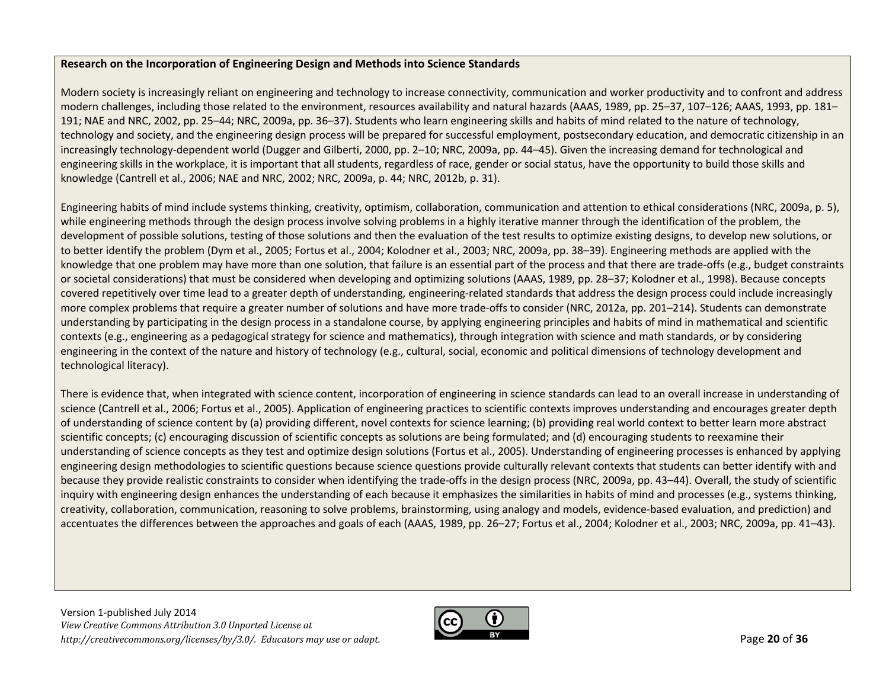## **Research on the Incorporation of Engineering Design and Methods into Science Standards**

Modern society is increasingly reliant on engineering and technology to increase connectivity, communication and worker productivity and to confront and address modern challenges, including those related to the environment, resources availability and natural hazards (AAAS, 1989, pp. 25–37, 107–126; AAAS, 1993, pp. 181– 191; NAE and NRC, 2002, pp. 25–44; NRC, 2009a, pp. 36–37). Students who learn engineering skills and habits of mind related to the nature of technology, technology and society, and the engineering design process will be prepared for successful employment, postsecondary education, and democratic citizenship in an increasingly technology-dependent world (Dugger and Gilberti, 2000, pp. 2–10; NRC, 2009a, pp. 44–45). Given the increasing demand for technological and engineering skills in the workplace, it is important that all students, regardless of race, gender or social status, have the opportunity to build those skills and knowledge (Cantrell et al., 2006; NAE and NRC, 2002; NRC, 2009a, p. 44; NRC, 2012b, p. 31).

Engineering habits of mind include systems thinking, creativity, optimism, collaboration, communication and attention to ethical considerations (NRC, 2009a, p. 5), while engineering methods through the design process involve solving problems in <sup>a</sup> highly iterative manner through the identification of the problem, the development of possible solutions, testing of those solutions and then the evaluation of the test results to optimize existing designs, to develop new solutions, or to better identify the problem (Dym et al., 2005; Fortus et al., 2004; Kolodner et al., 2003; NRC, 2009a, pp. 38–39). Engineering methods are applied with the knowledge that one problem may have more than one solution, that failure is an essential part of the process and that there are trade-offs (e.g., budget constraints or societal considerations) that must be considered when developing and optimizing solutions (AAAS, 1989, pp. 28–37; Kolodner et al., 1998). Because concepts covered repetitively over time lead to <sup>a</sup> greater depth of understanding, engineering‐related standards that address the design process could include increasingly more complex problems that require <sup>a</sup> greater number of solutions and have more trade‐offs to consider (NRC, 2012a, pp. 201–214). Students can demonstrate understanding by participating in the design process in <sup>a</sup> standalone course, by applying engineering principles and habits of mind in mathematical and scientific contexts (e.g., engineering as <sup>a</sup> pedagogical strategy for science and mathematics), through integration with science and math standards, or by considering engineering in the context of the nature and history of technology (e.g., cultural, social, economic and political dimensions of technology development and technological literacy).

There is evidence that, when integrated with science content, incorporation of engineering in science standards can lead to an overall increase in understanding of science (Cantrell et al., 2006; Fortus et al., 2005). Application of engineering practices to scientific contexts improves understanding and encourages greater depth of understanding of science content by (a) providing different, novel contexts for science learning; (b) providing real world context to better learn more abstract scientific concepts; (c) encouraging discussion of scientific concepts as solutions are being formulated; and (d) encouraging students to reexamine their understanding of science concepts as they test and optimize design solutions (Fortus et al., 2005). Understanding of engineering processes is enhanced by applying engineering design methodologies to scientific questions because science questions provide culturally relevant contexts that students can better identify with and because they provide realistic constraints to consider when identifying the trade‐offs in the design process (NRC, 2009a, pp. 43–44). Overall, the study of scientific inquiry with engineering design enhances the understanding of each because it emphasizes the similarities in habits of mind and processes (e.g., systems thinking, creativity, collaboration, communication, reasoning to solve problems, brainstorming, using analogy and models, evidence‐based evaluation, and prediction) and accentuates the differences between the approaches and goals of each (AAAS, 1989, pp. 26–27; Fortus et al., 2004; Kolodner et al., 2003; NRC, 2009a, pp. 41–43).

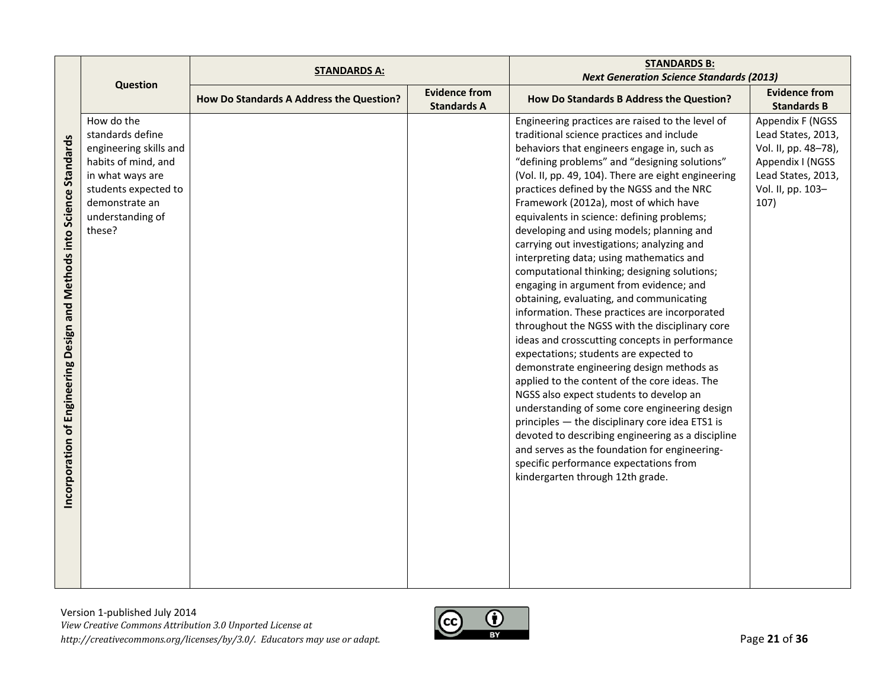|                                                                        |                        | <b>STANDARDS A:</b>                      |                                            | <b>STANDARDS B:</b>                                 |                                            |
|------------------------------------------------------------------------|------------------------|------------------------------------------|--------------------------------------------|-----------------------------------------------------|--------------------------------------------|
|                                                                        | <b>Question</b>        |                                          |                                            | <b>Next Generation Science Standards (2013)</b>     |                                            |
|                                                                        |                        | How Do Standards A Address the Question? | <b>Evidence from</b><br><b>Standards A</b> | How Do Standards B Address the Question?            | <b>Evidence from</b><br><b>Standards B</b> |
|                                                                        | How do the             |                                          |                                            | Engineering practices are raised to the level of    | Appendix F (NGSS                           |
|                                                                        | standards define       |                                          |                                            | traditional science practices and include           | Lead States, 2013,                         |
|                                                                        | engineering skills and |                                          |                                            | behaviors that engineers engage in, such as         | Vol. II, pp. 48-78),                       |
|                                                                        | habits of mind, and    |                                          |                                            | "defining problems" and "designing solutions"       | Appendix I (NGSS                           |
|                                                                        | in what ways are       |                                          |                                            | (Vol. II, pp. 49, 104). There are eight engineering | Lead States, 2013,                         |
|                                                                        | students expected to   |                                          |                                            | practices defined by the NGSS and the NRC           | Vol. II, pp. 103-                          |
|                                                                        | demonstrate an         |                                          |                                            | Framework (2012a), most of which have               | 107)                                       |
|                                                                        | understanding of       |                                          |                                            | equivalents in science: defining problems;          |                                            |
|                                                                        | these?                 |                                          |                                            | developing and using models; planning and           |                                            |
|                                                                        |                        |                                          |                                            | carrying out investigations; analyzing and          |                                            |
|                                                                        |                        |                                          |                                            | interpreting data; using mathematics and            |                                            |
|                                                                        |                        |                                          |                                            | computational thinking; designing solutions;        |                                            |
|                                                                        |                        |                                          |                                            | engaging in argument from evidence; and             |                                            |
|                                                                        |                        |                                          |                                            | obtaining, evaluating, and communicating            |                                            |
|                                                                        |                        |                                          |                                            | information. These practices are incorporated       |                                            |
|                                                                        |                        |                                          |                                            | throughout the NGSS with the disciplinary core      |                                            |
|                                                                        |                        |                                          |                                            | ideas and crosscutting concepts in performance      |                                            |
|                                                                        |                        |                                          |                                            | expectations; students are expected to              |                                            |
|                                                                        |                        |                                          |                                            | demonstrate engineering design methods as           |                                            |
|                                                                        |                        |                                          |                                            | applied to the content of the core ideas. The       |                                            |
|                                                                        |                        |                                          |                                            | NGSS also expect students to develop an             |                                            |
|                                                                        |                        |                                          |                                            | understanding of some core engineering design       |                                            |
|                                                                        |                        |                                          |                                            | principles - the disciplinary core idea ETS1 is     |                                            |
| Incorporation of Engineering Design and Methods into Science Standards |                        |                                          |                                            | devoted to describing engineering as a discipline   |                                            |
|                                                                        |                        |                                          |                                            | and serves as the foundation for engineering-       |                                            |
|                                                                        |                        |                                          |                                            | specific performance expectations from              |                                            |
|                                                                        |                        |                                          |                                            | kindergarten through 12th grade.                    |                                            |
|                                                                        |                        |                                          |                                            |                                                     |                                            |
|                                                                        |                        |                                          |                                            |                                                     |                                            |
|                                                                        |                        |                                          |                                            |                                                     |                                            |
|                                                                        |                        |                                          |                                            |                                                     |                                            |
|                                                                        |                        |                                          |                                            |                                                     |                                            |
|                                                                        |                        |                                          |                                            |                                                     |                                            |
|                                                                        |                        |                                          |                                            |                                                     |                                            |

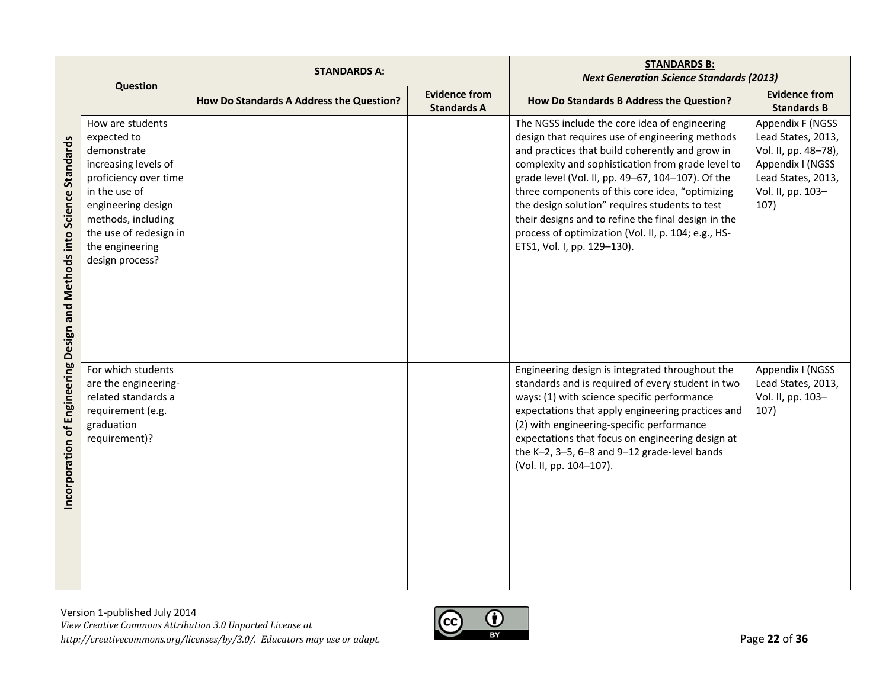|                                                                          | <b>STANDARDS A:</b>                                                                                                                                                                                                          |                                          |                                            | <b>STANDARDS B:</b><br><b>Next Generation Science Standards (2013)</b>                                                                                                                                                                                                                                                                                                                                                                                                                                          |                                                                                                                                       |
|--------------------------------------------------------------------------|------------------------------------------------------------------------------------------------------------------------------------------------------------------------------------------------------------------------------|------------------------------------------|--------------------------------------------|-----------------------------------------------------------------------------------------------------------------------------------------------------------------------------------------------------------------------------------------------------------------------------------------------------------------------------------------------------------------------------------------------------------------------------------------------------------------------------------------------------------------|---------------------------------------------------------------------------------------------------------------------------------------|
|                                                                          | <b>Question</b>                                                                                                                                                                                                              | How Do Standards A Address the Question? | <b>Evidence from</b><br><b>Standards A</b> | How Do Standards B Address the Question?                                                                                                                                                                                                                                                                                                                                                                                                                                                                        | <b>Evidence from</b><br><b>Standards B</b>                                                                                            |
| Standards<br>ncorporation of Engineering Design and Methods into Science | How are students<br>expected to<br>demonstrate<br>increasing levels of<br>proficiency over time<br>in the use of<br>engineering design<br>methods, including<br>the use of redesign in<br>the engineering<br>design process? |                                          |                                            | The NGSS include the core idea of engineering<br>design that requires use of engineering methods<br>and practices that build coherently and grow in<br>complexity and sophistication from grade level to<br>grade level (Vol. II, pp. 49-67, 104-107). Of the<br>three components of this core idea, "optimizing<br>the design solution" requires students to test<br>their designs and to refine the final design in the<br>process of optimization (Vol. II, p. 104; e.g., HS-<br>ETS1, Vol. I, pp. 129-130). | Appendix F (NGSS<br>Lead States, 2013,<br>Vol. II, pp. 48-78),<br>Appendix I (NGSS<br>Lead States, 2013,<br>Vol. II, pp. 103-<br>107) |
|                                                                          | For which students<br>are the engineering-<br>related standards a<br>requirement (e.g.<br>graduation<br>requirement)?                                                                                                        |                                          |                                            | Engineering design is integrated throughout the<br>standards and is required of every student in two<br>ways: (1) with science specific performance<br>expectations that apply engineering practices and<br>(2) with engineering-specific performance<br>expectations that focus on engineering design at<br>the K-2, 3-5, 6-8 and 9-12 grade-level bands<br>(Vol. II, pp. 104-107).                                                                                                                            | Appendix I (NGSS<br>Lead States, 2013,<br>Vol. II, pp. 103-<br>107)                                                                   |

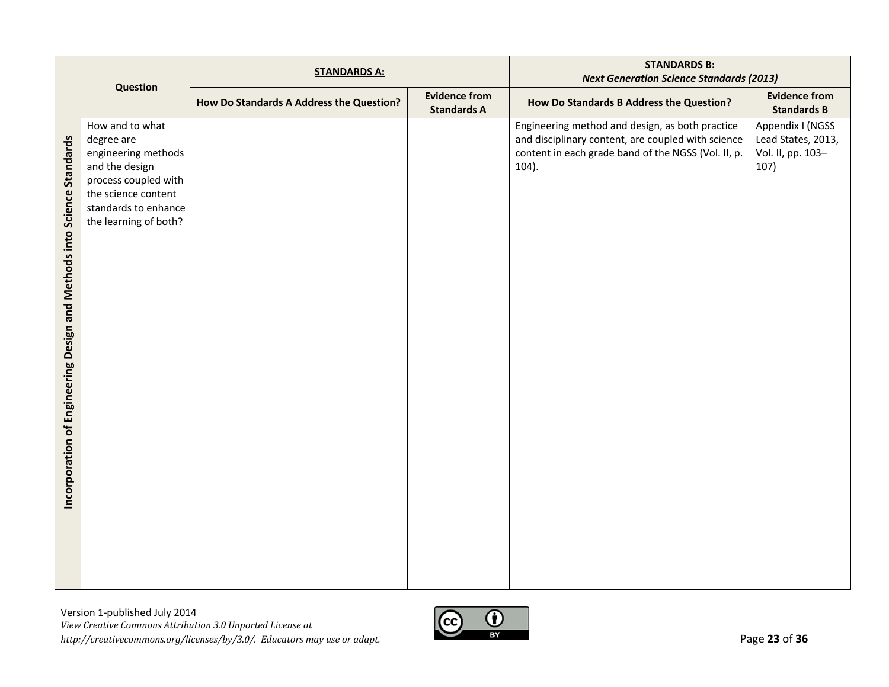|                                                                              |                                                                                                                                                                        | <b>STANDARDS A:</b>                      |                                            | <b>STANDARDS B:</b><br><b>Next Generation Science Standards (2013)</b>                                                                                                   |                                                                     |
|------------------------------------------------------------------------------|------------------------------------------------------------------------------------------------------------------------------------------------------------------------|------------------------------------------|--------------------------------------------|--------------------------------------------------------------------------------------------------------------------------------------------------------------------------|---------------------------------------------------------------------|
|                                                                              | Question                                                                                                                                                               | How Do Standards A Address the Question? | <b>Evidence from</b><br><b>Standards A</b> | How Do Standards B Address the Question?                                                                                                                                 | <b>Evidence from</b><br><b>Standards B</b>                          |
| and Methods into Science Standards<br>of Engineering Design<br>Incorporation | How and to what<br>degree are<br>engineering methods<br>and the design<br>process coupled with<br>the science content<br>standards to enhance<br>the learning of both? |                                          |                                            | Engineering method and design, as both practice<br>and disciplinary content, are coupled with science<br>content in each grade band of the NGSS (Vol. II, p.<br>$104$ ). | Appendix I (NGSS<br>Lead States, 2013,<br>Vol. II, pp. 103-<br>107) |

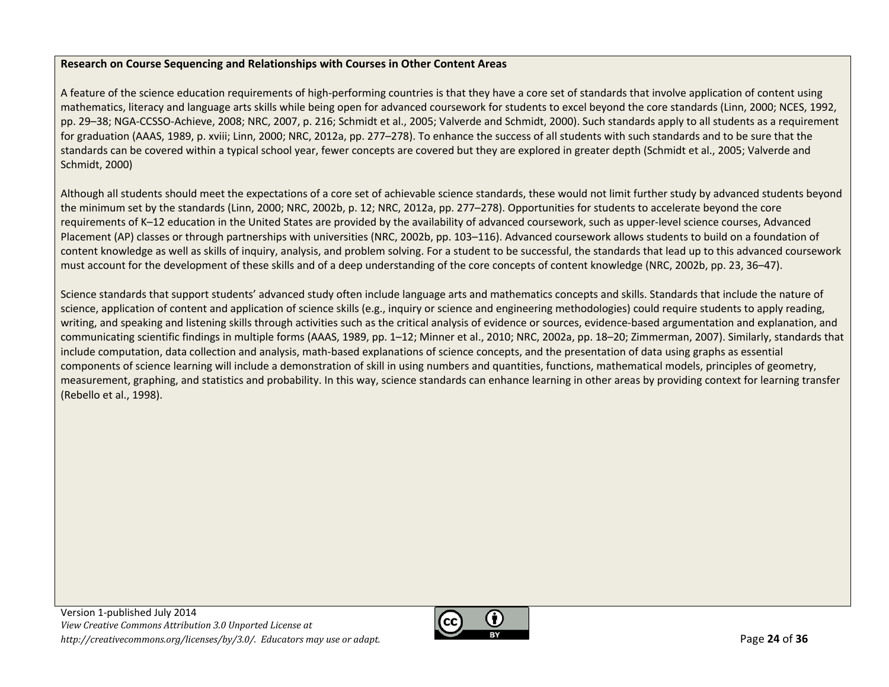# **Research on Course Sequencing and Relationships with Courses in Other Content Areas**

A feature of the science education requirements of high‐performing countries is that they have a core set of standards that involve application of content using mathematics, literacy and language arts skills while being open for advanced coursework for students to excel beyond the core standards (Linn, 2000; NCES, 1992, pp. 29–38; NGA‐CCSSO‐Achieve, 2008; NRC, 2007, p. 216; Schmidt et al., 2005; Valverde and Schmidt, 2000). Such standards apply to all students as <sup>a</sup> requirement for graduation (AAAS, 1989, p. xviii; Linn, 2000; NRC, 2012a, pp. 277–278). To enhance the success of all students with such standards and to be sure that the standards can be covered within <sup>a</sup> typical school year, fewer concepts are covered but they are explored in greater depth (Schmidt et al., 2005; Valverde and Schmidt, 2000)

Although all students should meet the expectations of <sup>a</sup> core set of achievable science standards, these would not limit further study by advanced students beyond the minimum set by the standards (Linn, 2000; NRC, 2002b, p. 12; NRC, 2012a, pp. 277–278). Opportunities for students to accelerate beyond the core requirements of K–12 education in the United States are provided by the availability of advanced coursework, such as upper‐level science courses, Advanced Placement (AP) classes or through partnerships with universities (NRC, 2002b, pp. 103–116). Advanced coursework allows students to build on <sup>a</sup> foundation of content knowledge as well as skills of inquiry, analysis, and problem solving. For <sup>a</sup> student to be successful, the standards that lead up to this advanced coursework must account for the development of these skills and of <sup>a</sup> deep understanding of the core concepts of content knowledge (NRC, 2002b, pp. 23, 36–47).

Science standards that support students' advanced study often include language arts and mathematics concepts and skills. Standards that include the nature of science, application of content and application of science skills (e.g., inquiry or science and engineering methodologies) could require students to apply reading, writing, and speaking and listening skills through activities such as the critical analysis of evidence or sources, evidence-based argumentation and explanation, and communicating scientific findings in multiple forms (AAAS, 1989, pp. 1–12; Minner et al., 2010; NRC, 2002a, pp. 18–20; Zimmerman, 2007). Similarly, standards that include computation, data collection and analysis, math‐based explanations of science concepts, and the presentation of data using graphs as essential components of science learning will include <sup>a</sup> demonstration of skill in using numbers and quantities, functions, mathematical models, principles of geometry, measurement, graphing, and statistics and probability. In this way, science standards can enhance learning in other areas by providing context for learning transfer (Rebello et al., 1998).

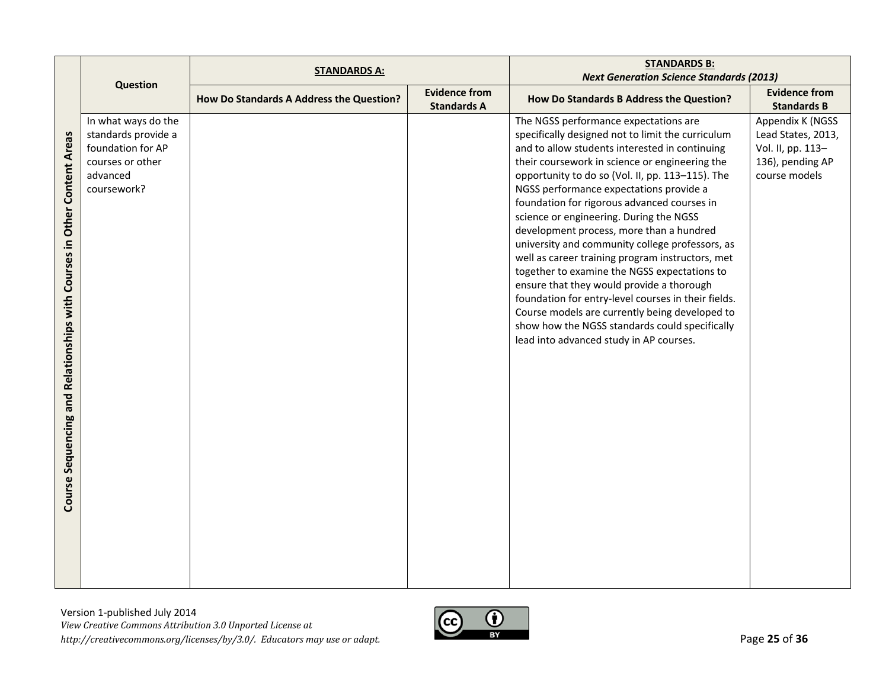|                                          | <b>STANDARDS A:</b> |                                          | <b>STANDARDS B:</b>                        |                                                                                                     |                                            |
|------------------------------------------|---------------------|------------------------------------------|--------------------------------------------|-----------------------------------------------------------------------------------------------------|--------------------------------------------|
|                                          | <b>Question</b>     |                                          |                                            | <b>Next Generation Science Standards (2013)</b>                                                     |                                            |
|                                          |                     | How Do Standards A Address the Question? | <b>Evidence from</b><br><b>Standards A</b> | How Do Standards B Address the Question?                                                            | <b>Evidence from</b><br><b>Standards B</b> |
|                                          | In what ways do the |                                          |                                            | The NGSS performance expectations are                                                               | Appendix K (NGSS                           |
|                                          | standards provide a |                                          |                                            | specifically designed not to limit the curriculum                                                   | Lead States, 2013,                         |
|                                          | foundation for AP   |                                          |                                            | and to allow students interested in continuing                                                      | Vol. II, pp. 113-                          |
|                                          | courses or other    |                                          |                                            | their coursework in science or engineering the                                                      | 136), pending AP                           |
|                                          | advanced            |                                          |                                            | opportunity to do so (Vol. II, pp. 113-115). The                                                    | course models                              |
|                                          | coursework?         |                                          |                                            | NGSS performance expectations provide a                                                             |                                            |
|                                          |                     |                                          |                                            | foundation for rigorous advanced courses in                                                         |                                            |
| Other Content Areas                      |                     |                                          |                                            | science or engineering. During the NGSS                                                             |                                            |
|                                          |                     |                                          |                                            | development process, more than a hundred                                                            |                                            |
|                                          |                     |                                          |                                            | university and community college professors, as<br>well as career training program instructors, met |                                            |
| Courses in                               |                     |                                          |                                            | together to examine the NGSS expectations to                                                        |                                            |
|                                          |                     |                                          |                                            | ensure that they would provide a thorough                                                           |                                            |
|                                          |                     |                                          |                                            | foundation for entry-level courses in their fields.                                                 |                                            |
|                                          |                     |                                          |                                            | Course models are currently being developed to                                                      |                                            |
|                                          |                     |                                          |                                            | show how the NGSS standards could specifically                                                      |                                            |
|                                          |                     |                                          |                                            | lead into advanced study in AP courses.                                                             |                                            |
|                                          |                     |                                          |                                            |                                                                                                     |                                            |
|                                          |                     |                                          |                                            |                                                                                                     |                                            |
|                                          |                     |                                          |                                            |                                                                                                     |                                            |
|                                          |                     |                                          |                                            |                                                                                                     |                                            |
|                                          |                     |                                          |                                            |                                                                                                     |                                            |
|                                          |                     |                                          |                                            |                                                                                                     |                                            |
|                                          |                     |                                          |                                            |                                                                                                     |                                            |
|                                          |                     |                                          |                                            |                                                                                                     |                                            |
|                                          |                     |                                          |                                            |                                                                                                     |                                            |
|                                          |                     |                                          |                                            |                                                                                                     |                                            |
| Course Sequencing and Relationships with |                     |                                          |                                            |                                                                                                     |                                            |
|                                          |                     |                                          |                                            |                                                                                                     |                                            |
|                                          |                     |                                          |                                            |                                                                                                     |                                            |
|                                          |                     |                                          |                                            |                                                                                                     |                                            |
|                                          |                     |                                          |                                            |                                                                                                     |                                            |
|                                          |                     |                                          |                                            |                                                                                                     |                                            |

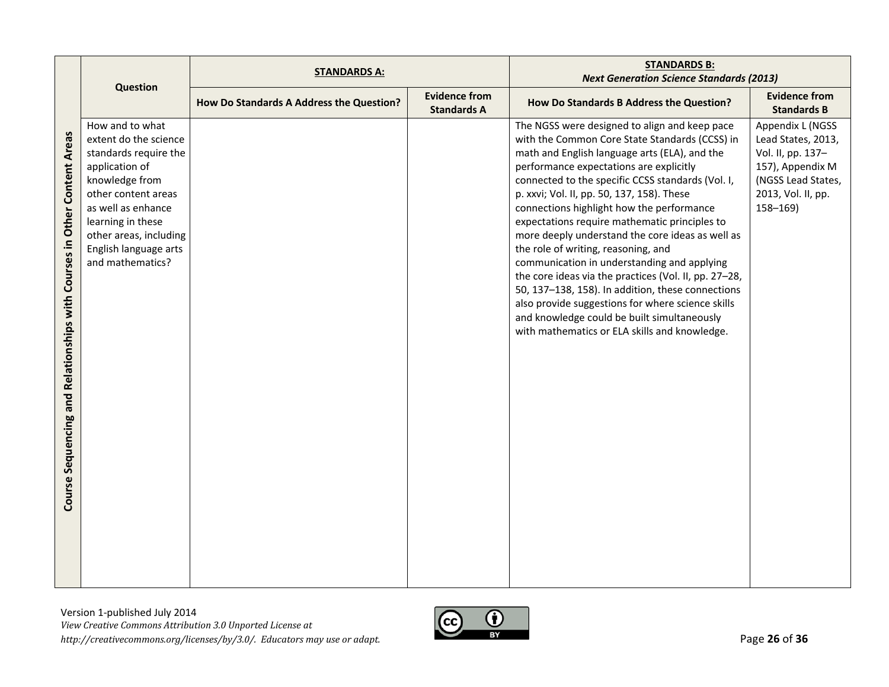|                                                                               |                                                                                                                                                                                                                                                | <b>STANDARDS A:</b>                      |                                            | <b>STANDARDS B:</b><br><b>Next Generation Science Standards (2013)</b>                                                                                                                                                                                                                                                                                                                                                                                                                                                                                                                                                                                                                                                                                                                                    |                                                                                                                                            |
|-------------------------------------------------------------------------------|------------------------------------------------------------------------------------------------------------------------------------------------------------------------------------------------------------------------------------------------|------------------------------------------|--------------------------------------------|-----------------------------------------------------------------------------------------------------------------------------------------------------------------------------------------------------------------------------------------------------------------------------------------------------------------------------------------------------------------------------------------------------------------------------------------------------------------------------------------------------------------------------------------------------------------------------------------------------------------------------------------------------------------------------------------------------------------------------------------------------------------------------------------------------------|--------------------------------------------------------------------------------------------------------------------------------------------|
|                                                                               | Question                                                                                                                                                                                                                                       | How Do Standards A Address the Question? | <b>Evidence from</b><br><b>Standards A</b> | How Do Standards B Address the Question?                                                                                                                                                                                                                                                                                                                                                                                                                                                                                                                                                                                                                                                                                                                                                                  | <b>Evidence from</b><br><b>Standards B</b>                                                                                                 |
| Relationships with Courses in Other Content Areas<br>Sequencing and<br>Course | How and to what<br>extent do the science<br>standards require the<br>application of<br>knowledge from<br>other content areas<br>as well as enhance<br>learning in these<br>other areas, including<br>English language arts<br>and mathematics? |                                          |                                            | The NGSS were designed to align and keep pace<br>with the Common Core State Standards (CCSS) in<br>math and English language arts (ELA), and the<br>performance expectations are explicitly<br>connected to the specific CCSS standards (Vol. I,<br>p. xxvi; Vol. II, pp. 50, 137, 158). These<br>connections highlight how the performance<br>expectations require mathematic principles to<br>more deeply understand the core ideas as well as<br>the role of writing, reasoning, and<br>communication in understanding and applying<br>the core ideas via the practices (Vol. II, pp. 27-28,<br>50, 137-138, 158). In addition, these connections<br>also provide suggestions for where science skills<br>and knowledge could be built simultaneously<br>with mathematics or ELA skills and knowledge. | Appendix L (NGSS<br>Lead States, 2013,<br>Vol. II, pp. 137-<br>157), Appendix M<br>(NGSS Lead States,<br>2013, Vol. II, pp.<br>$158 - 169$ |

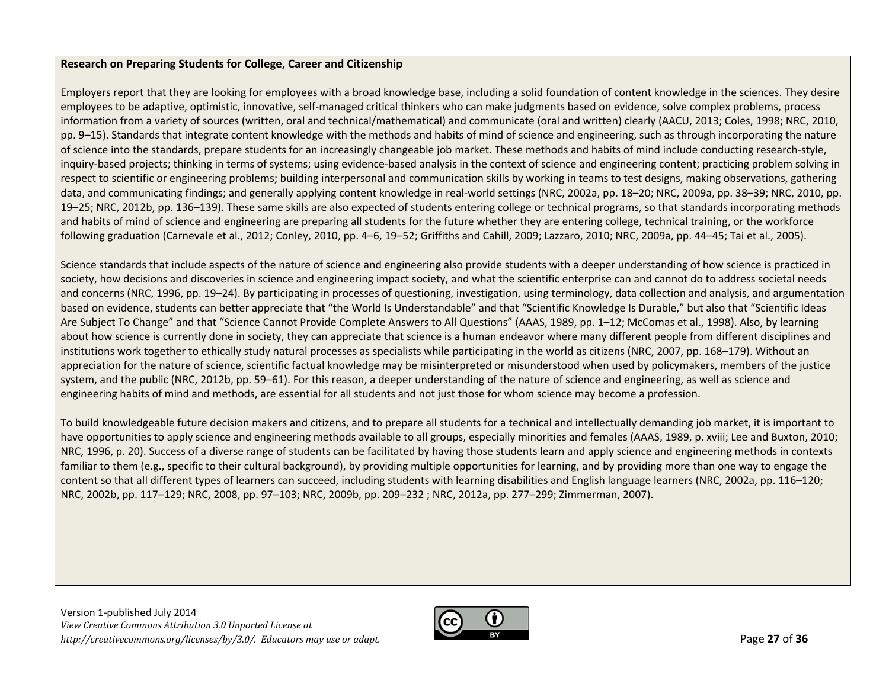### **Research on Preparing Students for College, Career and Citizenship**

Employers report that they are looking for employees with <sup>a</sup> broad knowledge base, including <sup>a</sup> solid foundation of content knowledge in the sciences. They desire employees to be adaptive, optimistic, innovative, self-managed critical thinkers who can make judgments based on evidence, solve complex problems, process information from <sup>a</sup> variety of sources (written, oral and technical/mathematical) and communicate (oral and written) clearly (AACU, 2013; Coles, 1998; NRC, 2010, pp. 9–15). Standards that integrate content knowledge with the methods and habits of mind of science and engineering, such as through incorporating the nature of science into the standards, prepare students for an increasingly changeable job market. These methods and habits of mind include conducting research‐style, inquiry-based projects; thinking in terms of systems; using evidence-based analysis in the context of science and engineering content; practicing problem solving in respect to scientific or engineering problems; building interpersonal and communication skills by working in teams to test designs, making observations, gathering data, and communicating findings; and generally applying content knowledge in real-world settings (NRC, 2002a, pp. 18–20; NRC, 2009a, pp. 38–39; NRC, 2010, pp. 19–25; NRC, 2012b, pp. 136–139). These same skills are also expected of students entering college or technical programs, so that standards incorporating methods and habits of mind of science and engineering are preparing all students for the future whether they are entering college, technical training, or the workforce following graduation (Carnevale et al., 2012; Conley, 2010, pp. 4–6, 19–52; Griffiths and Cahill, 2009; Lazzaro, 2010; NRC, 2009a, pp. 44–45; Tai et al., 2005).

Science standards that include aspects of the nature of science and engineering also provide students with <sup>a</sup> deeper understanding of how science is practiced in society, how decisions and discoveries in science and engineering impact society, and what the scientific enterprise can and cannot do to address societal needs and concerns (NRC, 1996, pp. 19–24). By participating in processes of questioning, investigation, using terminology, data collection and analysis, and argumentation based on evidence, students can better appreciate that "the World Is Understandable" and that "Scientific Knowledge Is Durable," but also that "Scientific Ideas Are Subject To Change" and that "Science Cannot Provide Complete Answers to All Questions" (AAAS, 1989, pp. 1–12; McComas et al., 1998). Also, by learning about how science is currently done in society, they can appreciate that science is <sup>a</sup> human endeavor where many different people from different disciplines and institutions work together to ethically study natural processes as specialists while participating in the world as citizens (NRC, 2007, pp. 168–179). Without an appreciation for the nature of science, scientific factual knowledge may be misinterpreted or misunderstood when used by policymakers, members of the justice system, and the public (NRC, 2012b, pp. 59–61). For this reason, <sup>a</sup> deeper understanding of the nature of science and engineering, as well as science and engineering habits of mind and methods, are essential for all students and not just those for whom science may become <sup>a</sup> profession.

To build knowledgeable future decision makers and citizens, and to prepare all students for <sup>a</sup> technical and intellectually demanding job market, it is important to have opportunities to apply science and engineering methods available to all groups, especially minorities and females (AAAS, 1989, p. xviii; Lee and Buxton, 2010; NRC, 1996, p. 20). Success of <sup>a</sup> diverse range of students can be facilitated by having those students learn and apply science and engineering methods in contexts familiar to them (e.g., specific to their cultural background), by providing multiple opportunities for learning, and by providing more than one way to engage the content so that all different types of learners can succeed, including students with learning disabilities and English language learners (NRC, 2002a, pp. 116–120; NRC, 2002b, pp. 117–129; NRC, 2008, pp. 97–103; NRC, 2009b, pp. 209–232 ; NRC, 2012a, pp. 277–299; Zimmerman, 2007).

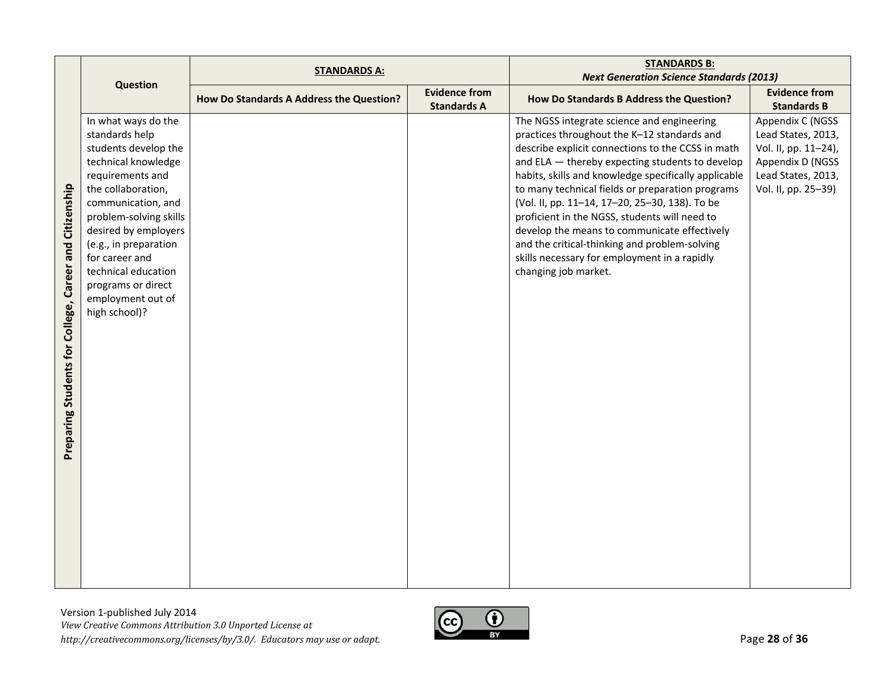|                                 |                                       | <b>STANDARDS A:</b>                      |                                            | <b>STANDARDS B:</b>                                                                       |                                            |
|---------------------------------|---------------------------------------|------------------------------------------|--------------------------------------------|-------------------------------------------------------------------------------------------|--------------------------------------------|
|                                 | <b>Question</b>                       |                                          |                                            | <b>Next Generation Science Standards (2013)</b>                                           |                                            |
|                                 |                                       | How Do Standards A Address the Question? | <b>Evidence from</b><br><b>Standards A</b> | How Do Standards B Address the Question?                                                  | <b>Evidence from</b><br><b>Standards B</b> |
|                                 | In what ways do the<br>standards help |                                          |                                            | The NGSS integrate science and engineering<br>practices throughout the K-12 standards and | Appendix C (NGSS<br>Lead States, 2013,     |
|                                 | students develop the                  |                                          |                                            | describe explicit connections to the CCSS in math                                         | Vol. II, pp. 11-24),                       |
|                                 | technical knowledge                   |                                          |                                            | and ELA - thereby expecting students to develop                                           | Appendix D (NGSS                           |
|                                 | requirements and                      |                                          |                                            | habits, skills and knowledge specifically applicable                                      | Lead States, 2013,                         |
|                                 | the collaboration,                    |                                          |                                            | to many technical fields or preparation programs                                          | Vol. II, pp. 25-39)                        |
|                                 | communication, and                    |                                          |                                            | (Vol. II, pp. 11-14, 17-20, 25-30, 138). To be                                            |                                            |
|                                 | problem-solving skills                |                                          |                                            | proficient in the NGSS, students will need to                                             |                                            |
|                                 | desired by employers                  |                                          |                                            | develop the means to communicate effectively                                              |                                            |
|                                 | (e.g., in preparation                 |                                          |                                            | and the critical-thinking and problem-solving                                             |                                            |
|                                 | for career and                        |                                          |                                            | skills necessary for employment in a rapidly                                              |                                            |
|                                 | technical education                   |                                          |                                            | changing job market.                                                                      |                                            |
| Career and Citizenship          | programs or direct                    |                                          |                                            |                                                                                           |                                            |
|                                 | employment out of                     |                                          |                                            |                                                                                           |                                            |
|                                 | high school)?                         |                                          |                                            |                                                                                           |                                            |
|                                 |                                       |                                          |                                            |                                                                                           |                                            |
|                                 |                                       |                                          |                                            |                                                                                           |                                            |
|                                 |                                       |                                          |                                            |                                                                                           |                                            |
|                                 |                                       |                                          |                                            |                                                                                           |                                            |
|                                 |                                       |                                          |                                            |                                                                                           |                                            |
|                                 |                                       |                                          |                                            |                                                                                           |                                            |
|                                 |                                       |                                          |                                            |                                                                                           |                                            |
|                                 |                                       |                                          |                                            |                                                                                           |                                            |
| Preparing Students for College, |                                       |                                          |                                            |                                                                                           |                                            |
|                                 |                                       |                                          |                                            |                                                                                           |                                            |
|                                 |                                       |                                          |                                            |                                                                                           |                                            |
|                                 |                                       |                                          |                                            |                                                                                           |                                            |
|                                 |                                       |                                          |                                            |                                                                                           |                                            |
|                                 |                                       |                                          |                                            |                                                                                           |                                            |
|                                 |                                       |                                          |                                            |                                                                                           |                                            |
|                                 |                                       |                                          |                                            |                                                                                           |                                            |
|                                 |                                       |                                          |                                            |                                                                                           |                                            |
|                                 |                                       |                                          |                                            |                                                                                           |                                            |

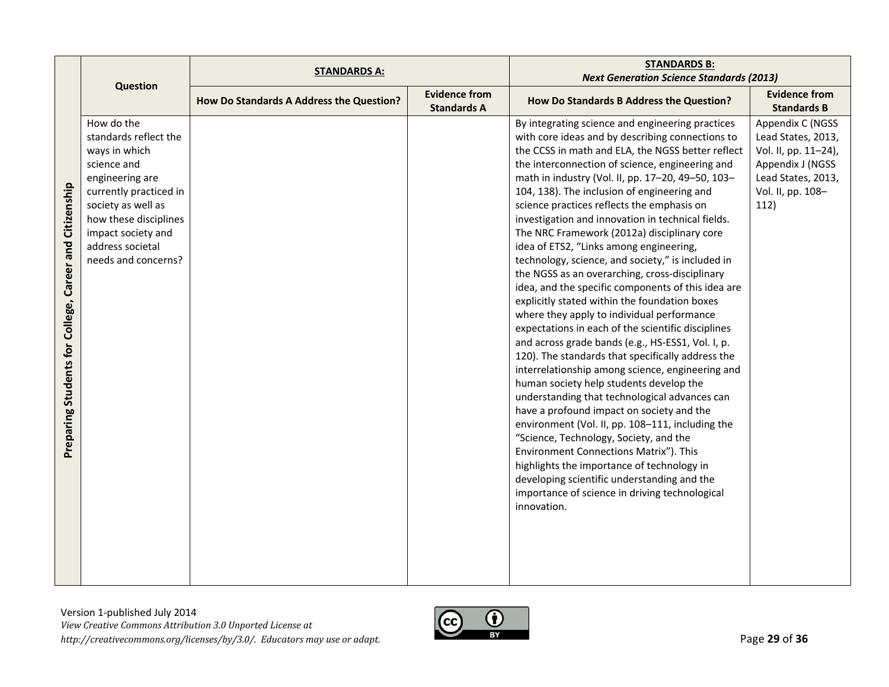|                                                           |                                                                                                                                                                                                                                                     | <b>STANDARDS A:</b>                      |                                            | <b>STANDARDS B:</b>                                                                                                                                                                                                                                                                                                                                                                                                                                                                                                                                                                                                                                                                                                                                                                                                                                                                                                                                                                                                                                                                                                                                                                                                                                                                                                                                                                                                                                                                             |                                                                                                                                       |
|-----------------------------------------------------------|-----------------------------------------------------------------------------------------------------------------------------------------------------------------------------------------------------------------------------------------------------|------------------------------------------|--------------------------------------------|-------------------------------------------------------------------------------------------------------------------------------------------------------------------------------------------------------------------------------------------------------------------------------------------------------------------------------------------------------------------------------------------------------------------------------------------------------------------------------------------------------------------------------------------------------------------------------------------------------------------------------------------------------------------------------------------------------------------------------------------------------------------------------------------------------------------------------------------------------------------------------------------------------------------------------------------------------------------------------------------------------------------------------------------------------------------------------------------------------------------------------------------------------------------------------------------------------------------------------------------------------------------------------------------------------------------------------------------------------------------------------------------------------------------------------------------------------------------------------------------------|---------------------------------------------------------------------------------------------------------------------------------------|
|                                                           |                                                                                                                                                                                                                                                     |                                          |                                            |                                                                                                                                                                                                                                                                                                                                                                                                                                                                                                                                                                                                                                                                                                                                                                                                                                                                                                                                                                                                                                                                                                                                                                                                                                                                                                                                                                                                                                                                                                 |                                                                                                                                       |
|                                                           |                                                                                                                                                                                                                                                     | How Do Standards A Address the Question? | <b>Evidence from</b><br><b>Standards A</b> | How Do Standards B Address the Question?                                                                                                                                                                                                                                                                                                                                                                                                                                                                                                                                                                                                                                                                                                                                                                                                                                                                                                                                                                                                                                                                                                                                                                                                                                                                                                                                                                                                                                                        | <b>Evidence from</b><br><b>Standards B</b>                                                                                            |
| Career and Citizenship<br>Preparing Students for College, | <b>Question</b><br>How do the<br>standards reflect the<br>ways in which<br>science and<br>engineering are<br>currently practiced in<br>society as well as<br>how these disciplines<br>impact society and<br>address societal<br>needs and concerns? |                                          |                                            | <b>Next Generation Science Standards (2013)</b><br>By integrating science and engineering practices<br>with core ideas and by describing connections to<br>the CCSS in math and ELA, the NGSS better reflect<br>the interconnection of science, engineering and<br>math in industry (Vol. II, pp. 17-20, 49-50, 103-<br>104, 138). The inclusion of engineering and<br>science practices reflects the emphasis on<br>investigation and innovation in technical fields.<br>The NRC Framework (2012a) disciplinary core<br>idea of ETS2, "Links among engineering,<br>technology, science, and society," is included in<br>the NGSS as an overarching, cross-disciplinary<br>idea, and the specific components of this idea are<br>explicitly stated within the foundation boxes<br>where they apply to individual performance<br>expectations in each of the scientific disciplines<br>and across grade bands (e.g., HS-ESS1, Vol. I, p.<br>120). The standards that specifically address the<br>interrelationship among science, engineering and<br>human society help students develop the<br>understanding that technological advances can<br>have a profound impact on society and the<br>environment (Vol. II, pp. 108-111, including the<br>"Science, Technology, Society, and the<br>Environment Connections Matrix"). This<br>highlights the importance of technology in<br>developing scientific understanding and the<br>importance of science in driving technological<br>innovation. | Appendix C (NGSS<br>Lead States, 2013,<br>Vol. II, pp. 11-24),<br>Appendix J (NGSS<br>Lead States, 2013,<br>Vol. II, pp. 108-<br>112) |
|                                                           |                                                                                                                                                                                                                                                     |                                          |                                            |                                                                                                                                                                                                                                                                                                                                                                                                                                                                                                                                                                                                                                                                                                                                                                                                                                                                                                                                                                                                                                                                                                                                                                                                                                                                                                                                                                                                                                                                                                 |                                                                                                                                       |

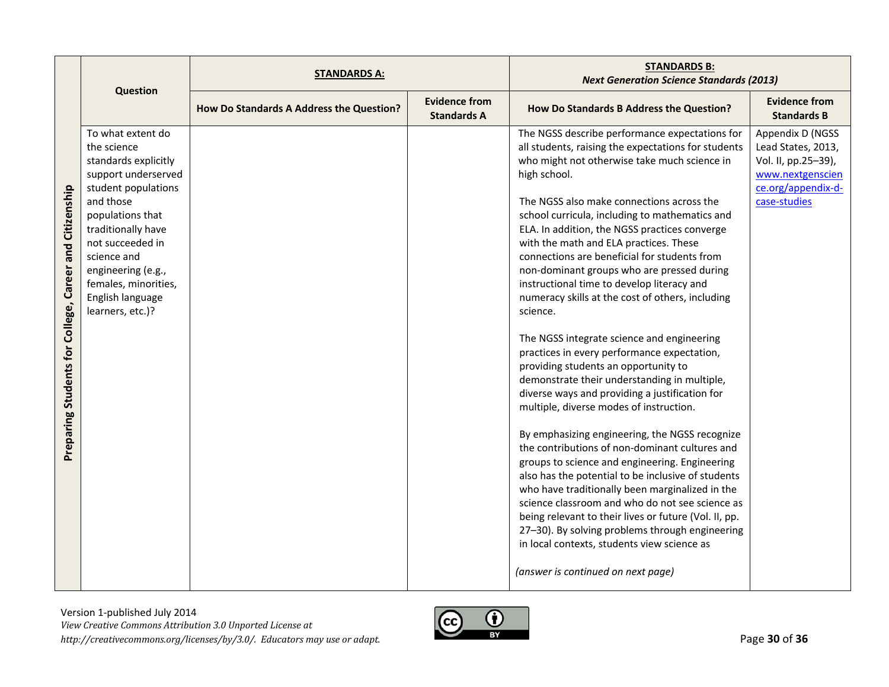|                                                           | Question                                                                                                                                                                                                                                                                               | <b>STANDARDS A:</b>                      |                                            | <b>STANDARDS B:</b><br><b>Next Generation Science Standards (2013)</b>                                                                                                                                                                                                                                                                                                                                                                                                                                                                                                                                                                                                                                                                                                                                                                                                                                                                                                                                                                                                                                                                                                                                                                                                                                                                                                           |                                                                                                                         |
|-----------------------------------------------------------|----------------------------------------------------------------------------------------------------------------------------------------------------------------------------------------------------------------------------------------------------------------------------------------|------------------------------------------|--------------------------------------------|----------------------------------------------------------------------------------------------------------------------------------------------------------------------------------------------------------------------------------------------------------------------------------------------------------------------------------------------------------------------------------------------------------------------------------------------------------------------------------------------------------------------------------------------------------------------------------------------------------------------------------------------------------------------------------------------------------------------------------------------------------------------------------------------------------------------------------------------------------------------------------------------------------------------------------------------------------------------------------------------------------------------------------------------------------------------------------------------------------------------------------------------------------------------------------------------------------------------------------------------------------------------------------------------------------------------------------------------------------------------------------|-------------------------------------------------------------------------------------------------------------------------|
|                                                           |                                                                                                                                                                                                                                                                                        | How Do Standards A Address the Question? | <b>Evidence from</b><br><b>Standards A</b> | How Do Standards B Address the Question?                                                                                                                                                                                                                                                                                                                                                                                                                                                                                                                                                                                                                                                                                                                                                                                                                                                                                                                                                                                                                                                                                                                                                                                                                                                                                                                                         | <b>Evidence from</b><br><b>Standards B</b>                                                                              |
| Career and Citizenship<br>Preparing Students for College, | To what extent do<br>the science<br>standards explicitly<br>support underserved<br>student populations<br>and those<br>populations that<br>traditionally have<br>not succeeded in<br>science and<br>engineering (e.g.,<br>females, minorities,<br>English language<br>learners, etc.)? |                                          |                                            | The NGSS describe performance expectations for<br>all students, raising the expectations for students<br>who might not otherwise take much science in<br>high school.<br>The NGSS also make connections across the<br>school curricula, including to mathematics and<br>ELA. In addition, the NGSS practices converge<br>with the math and ELA practices. These<br>connections are beneficial for students from<br>non-dominant groups who are pressed during<br>instructional time to develop literacy and<br>numeracy skills at the cost of others, including<br>science.<br>The NGSS integrate science and engineering<br>practices in every performance expectation,<br>providing students an opportunity to<br>demonstrate their understanding in multiple,<br>diverse ways and providing a justification for<br>multiple, diverse modes of instruction.<br>By emphasizing engineering, the NGSS recognize<br>the contributions of non-dominant cultures and<br>groups to science and engineering. Engineering<br>also has the potential to be inclusive of students<br>who have traditionally been marginalized in the<br>science classroom and who do not see science as<br>being relevant to their lives or future (Vol. II, pp.<br>27-30). By solving problems through engineering<br>in local contexts, students view science as<br>(answer is continued on next page) | Appendix D (NGSS<br>Lead States, 2013,<br>Vol. II, pp.25-39),<br>www.nextgenscien<br>ce.org/appendix-d-<br>case-studies |

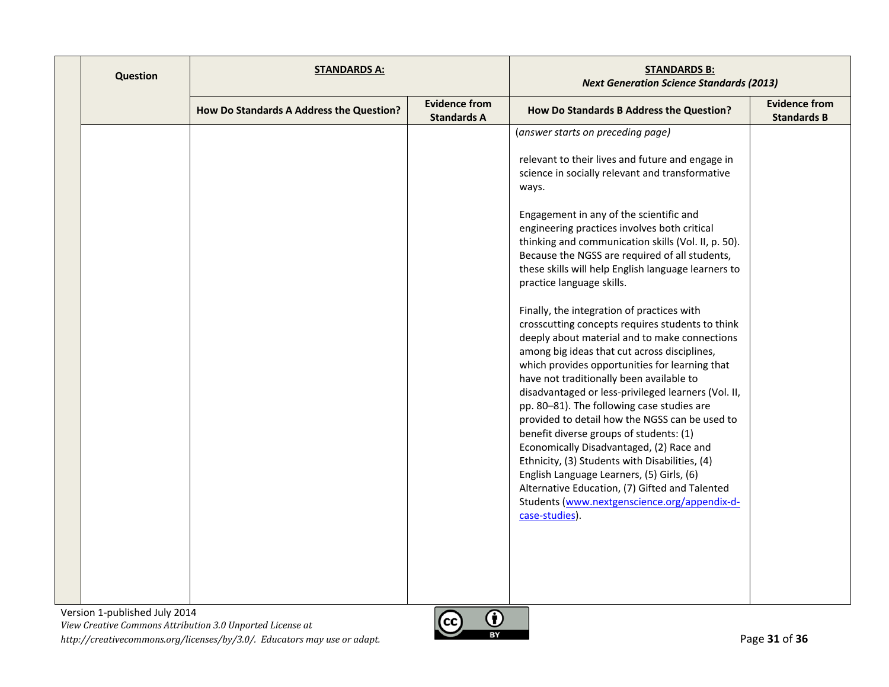| <b>Question</b> | <b>STANDARDS A:</b>                      |                                            | <b>STANDARDS B:</b><br><b>Next Generation Science Standards (2013)</b>                                                                                                                                                                                                                                                                                                                                                                                                                                                                                                                                                                                                                                                                                                                                                                                                                                                                       |                                            |
|-----------------|------------------------------------------|--------------------------------------------|----------------------------------------------------------------------------------------------------------------------------------------------------------------------------------------------------------------------------------------------------------------------------------------------------------------------------------------------------------------------------------------------------------------------------------------------------------------------------------------------------------------------------------------------------------------------------------------------------------------------------------------------------------------------------------------------------------------------------------------------------------------------------------------------------------------------------------------------------------------------------------------------------------------------------------------------|--------------------------------------------|
|                 | How Do Standards A Address the Question? | <b>Evidence from</b><br><b>Standards A</b> | How Do Standards B Address the Question?                                                                                                                                                                                                                                                                                                                                                                                                                                                                                                                                                                                                                                                                                                                                                                                                                                                                                                     | <b>Evidence from</b><br><b>Standards B</b> |
|                 |                                          |                                            | (answer starts on preceding page)<br>relevant to their lives and future and engage in<br>science in socially relevant and transformative<br>ways.<br>Engagement in any of the scientific and<br>engineering practices involves both critical<br>thinking and communication skills (Vol. II, p. 50).<br>Because the NGSS are required of all students,<br>these skills will help English language learners to<br>practice language skills.<br>Finally, the integration of practices with<br>crosscutting concepts requires students to think<br>deeply about material and to make connections<br>among big ideas that cut across disciplines,<br>which provides opportunities for learning that<br>have not traditionally been available to<br>disadvantaged or less-privileged learners (Vol. II,<br>pp. 80-81). The following case studies are<br>provided to detail how the NGSS can be used to<br>benefit diverse groups of students: (1) |                                            |
|                 |                                          |                                            | Economically Disadvantaged, (2) Race and<br>Ethnicity, (3) Students with Disabilities, (4)<br>English Language Learners, (5) Girls, (6)<br>Alternative Education, (7) Gifted and Talented<br>Students (www.nextgenscience.org/appendix-d-<br>case-studies).                                                                                                                                                                                                                                                                                                                                                                                                                                                                                                                                                                                                                                                                                  |                                            |

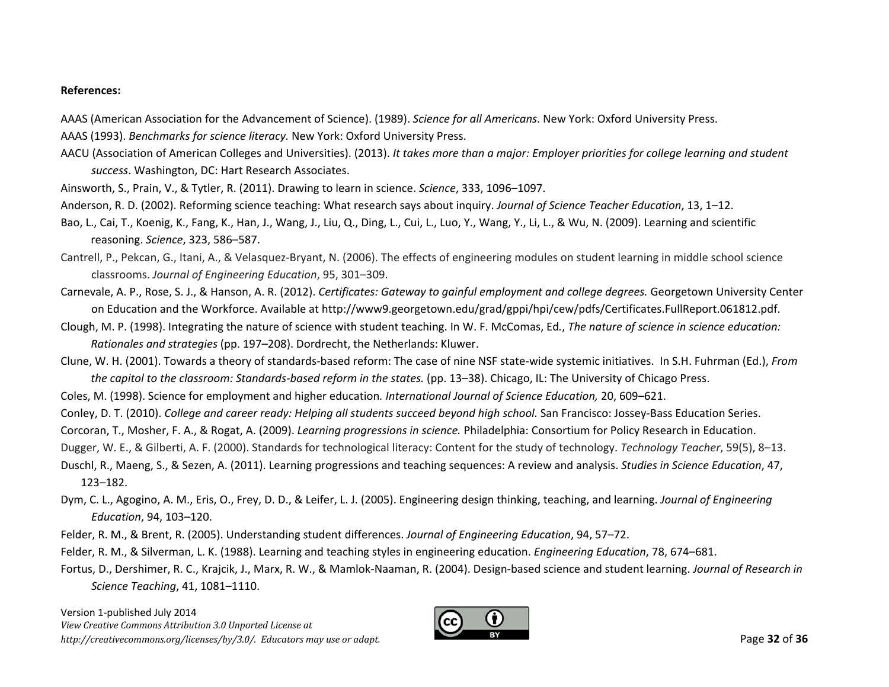#### **References:**

AAAS (American Association for the Advancement of Science). (1989). *Science for all Americans*. New York: Oxford University Press. AAAS (1993). *Benchmarks for science literacy.* New York: Oxford University Press.

- AACU (Association of American Colleges and Universities). (2013). It takes more than a major: Employer priorities for college learning and student *success*. Washington, DC: Hart Research Associates.
- Ainsworth, S., Prain, V., & Tytler, R. (2011). Drawing to learn in science. *Science*, 333, 1096–1097.
- Anderson, R. D. (2002). Reforming science teaching: What research says about inquiry. *Journal of Science Teacher Education*, 13, 1–12.
- Bao, L., Cai, T., Koenig, K., Fang, K., Han, J., Wang, J., Liu, Q., Ding, L., Cui, L., Luo, Y., Wang, Y., Li, L., & Wu, N. (2009). Learning and scientific reasoning. *Science*, 323, 586–587.
- Cantrell, P., Pekcan, G., Itani, A., & Velasquez‐Bryant, N. (2006). The effects of engineering modules on student learning in middle school science classrooms. *Journal of Engineering Education*, 95, 301–309.
- Carnevale, A. P., Rose, S. J., & Hanson, A. R. (2012). *Certificates: Gateway to gainful employment and college degrees.* Georgetown University Center on Education and the Workforce. Available at http://www9.georgetown.edu/grad/gppi/hpi/cew/pdfs/Certificates.FullReport.061812.pdf.
- Clough, M. P. (1998). Integrating the nature of science with student teaching. In W. F. McComas, Ed*.*, *The nature of science in science education: Rationales and strategies* (pp. 197–208). Dordrecht, the Netherlands: Kluwer.
- Clune, W. H. (2001). Towards <sup>a</sup> theory of standards‐based reform: The case of nine NSF state‐wide systemic initiatives. In S.H. Fuhrman (Ed.), *From the capitol to the classroom: Standards‐based reform in the states.* (pp. 13–38). Chicago, IL: The University of Chicago Press.
- Coles, M. (1998). Science for employment and higher education*. International Journal of Science Education,* 20, 609–621.
- Conley, D. T. (2010). *College and career ready: Helping all students succeed beyond high school.* San Francisco: Jossey‐Bass Education Series.
- Corcoran, T., Mosher, F. A., & Rogat, A. (2009). *Learning progressions in science.* Philadelphia: Consortium for Policy Research in Education.
- Dugger, W. E., & Gilberti, A. F. (2000). Standards for technological literacy: Content for the study of technology. *Technology Teacher*, 59(5), 8–13.
- Duschl, R., Maeng, S., & Sezen, A. (2011). Learning progressions and teaching sequences: A review and analysis. *Studies in Science Education*, 47, 123–182.
- Dym, C. L., Agogino, A. M., Eris, O., Frey, D. D., & Leifer, L. J. (2005). Engineering design thinking, teaching, and learning. *Journal of Engineering Education*, 94, 103–120.
- Felder, R. M., & Brent, R. (2005). Understanding student differences. *Journal of Engineering Education*, 94, 57–72.
- Felder, R. M., & Silverman, L. K. (1988). Learning and teaching styles in engineering education. *Engineering Education*, 78, 674–681.

Fortus, D., Dershimer, R. C., Krajcik, J., Marx, R. W., & Mamlok‐Naaman, R. (2004). Design‐based science and student learning. *Journal of Research in Science Teaching*, 41, 1081–1110.

Version 1‐published July 2014 *View Creative Commons Attribution 3.0 Unported License at http://creativecommons.org/licenses/by/3.0/. Educators may use or adapt.* Page **32** of **36**

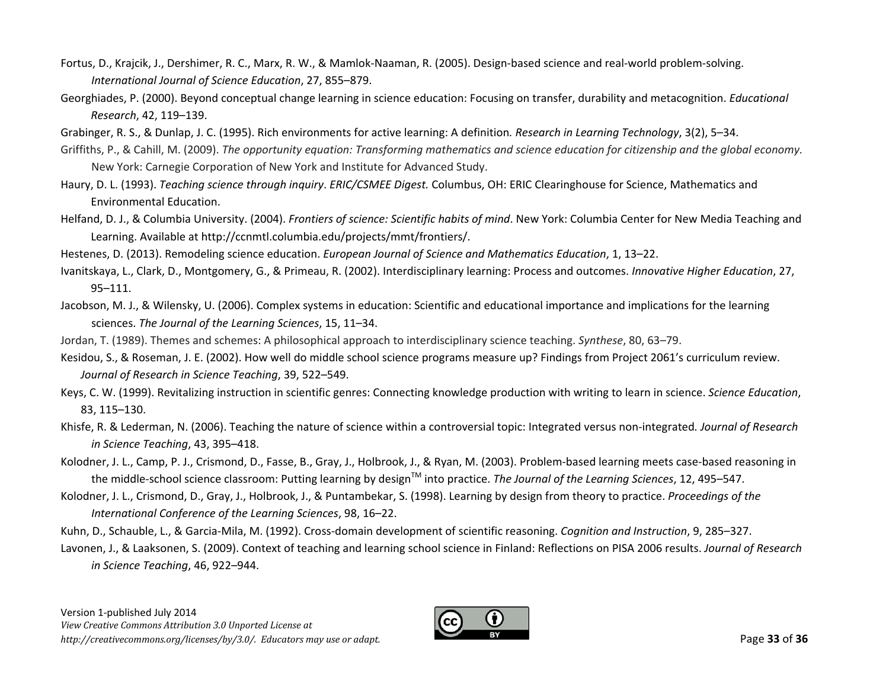- Fortus, D., Krajcik, J., Dershimer, R. C., Marx, R. W., & Mamlok‐Naaman, R. (2005). Design‐based science and real‐world problem‐solving. *International Journal of Science Education*, 27, 855–879.
- Georghiades, P. (2000). Beyond conceptual change learning in science education: Focusing on transfer, durability and metacognition. *Educational Research*, 42, 119–139.
- Grabinger, R. S., & Dunlap, J. C. (1995). Rich environments for active learning: A definition*. Research in Learning Technology*, 3(2), 5–34.
- Griffiths, P., & Cahill, M. (2009). The opportunity equation: Transforming mathematics and science education for citizenship and the global economy. New York: Carnegie Corporation of New York and Institute for Advanced Study.
- Haury, D. L. (1993). *Teaching science through inquiry*. *ERIC/CSMEE Digest.* Columbus, OH: ERIC Clearinghouse for Science, Mathematics and Environmental Education.
- Helfand, D. J., & Columbia University. (2004). *Frontiers of science: Scientific habits of mind*. New York: Columbia Center for New Media Teaching and Learning. Available at http://ccnmtl.columbia.edu/projects/mmt/frontiers/.
- Hestenes, D. (2013). Remodeling science education. *European Journal of Science and Mathematics Education*, 1, 13–22.
- Ivanitskaya, L., Clark, D., Montgomery, G., & Primeau, R. (2002). Interdisciplinary learning: Process and outcomes. *Innovative Higher Education*, 27, 95–111.
- Jacobson, M. J., & Wilensky, U. (2006). Complex systems in education: Scientific and educational importance and implications for the learning sciences. *The Journal of the Learning Sciences*, 15, 11–34.

Jordan, T. (1989). Themes and schemes: A philosophical approach to interdisciplinary science teaching. *Synthese*, 80, 63–79.

- Kesidou, S., & Roseman, J. E. (2002). How well do middle school science programs measure up? Findings from Project 2061's curriculum review. *Journal of Research in Science Teaching*, 39, 522–549.
- Keys, C. W. (1999). Revitalizing instruction in scientific genres: Connecting knowledge production with writing to learn in science. *Science Education*, 83, 115–130.
- Khisfe, R. & Lederman, N. (2006). Teaching the nature of science within <sup>a</sup> controversial topic: Integrated versus non‐integrated*. Journal of Research in Science Teaching*, 43, 395–418.
- Kolodner, J. L., Camp, P. J., Crismond, D., Fasse, B., Gray, J., Holbrook, J., & Ryan, M. (2003). Problem‐based learning meets case‐based reasoning in the middle-school science classroom: Putting learning by design™ into practice. *The Journal of the Learning Sciences,* 12, 495–547.
- Kolodner, J. L., Crismond, D., Gray, J., Holbrook, J., & Puntambekar, S. (1998). Learning by design from theory to practice. *Proceedings of the International Conference of the Learning Sciences*, 98, 16–22.
- Kuhn, D., Schauble, L., & Garcia‐Mila, M. (1992). Cross‐domain development of scientific reasoning. *Cognition and Instruction*, 9, 285–327.
- Lavonen, J., & Laaksonen, S. (2009). Context of teaching and learning school science in Finland: Reflections on PISA 2006 results. *Journal of Research in Science Teaching*, 46, 922–944.

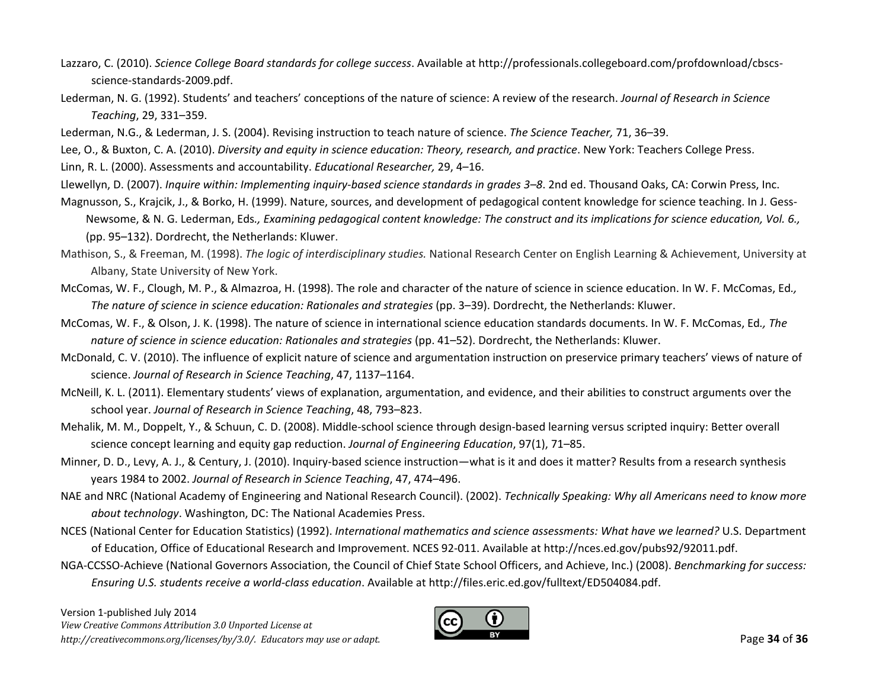- Lazzaro, C. (2010). *Science College Board standards for college success*. Available at http://professionals.collegeboard.com/profdownload/cbscs‐ science‐standards‐2009.pdf.
- Lederman, N. G. (1992). Students' and teachers' conceptions of the nature of science: A review of the research. *Journal of Research in Science Teaching*, 29, 331–359.
- Lederman, N.G., & Lederman, J. S. (2004). Revising instruction to teach nature of science. *The Science Teacher,* 71, 36–39.
- Lee, O., & Buxton, C. A. (2010). *Diversity and equity in science education: Theory, research, and practice*. New York: Teachers College Press.
- Linn, R. L. (2000). Assessments and accountability. *Educational Researcher,* 29, 4–16.
- Llewellyn, D. (2007). *Inquire within: Implementing inquiry‐based science standards in grades 3–8*. 2nd ed. Thousand Oaks, CA: Corwin Press, Inc.
- Magnusson, S., Krajcik, J., & Borko, H. (1999). Nature, sources, and development of pedagogical content knowledge for science teaching. In J. Gess‐ Newsome, & N. G. Lederman, Eds., Examining pedagogical content knowledge: The construct and its implications for science education, Vol. 6., (pp. 95–132). Dordrecht, the Netherlands: Kluwer.
- Mathison, S., & Freeman, M. (1998). *The logic of interdisciplinary studies.* National Research Center on English Learning & Achievement, University at Albany, State University of New York.
- McComas, W. F., Clough, M. P., & Almazroa, H. (1998). The role and character of the nature of science in science education. In W. F. McComas, Ed*., The nature of science in science education: Rationales and strategies* (pp. 3–39). Dordrecht, the Netherlands: Kluwer.
- McComas, W. F., & Olson, J. K. (1998). The nature of science in international science education standards documents. In W. F. McComas, Ed*., The nature of science in science education: Rationales and strategies* (pp. 41–52). Dordrecht, the Netherlands: Kluwer.
- McDonald, C. V. (2010). The influence of explicit nature of science and argumentation instruction on preservice primary teachers' views of nature of science. *Journal of Research in Science Teaching*, 47, 1137–1164.
- McNeill, K. L. (2011). Elementary students' views of explanation, argumentation, and evidence, and their abilities to construct arguments over the school year. *Journal of Research in Science Teaching*, 48, 793–823.
- Mehalik, M. M., Doppelt, Y., & Schuun, C. D. (2008). Middle‐school science through design‐based learning versus scripted inquiry: Better overall science concept learning and equity gap reduction. *Journal of Engineering Education*, 97(1), 71–85.
- Minner, D. D., Levy, A. J., & Century, J. (2010). Inquiry‐based science instruction—what is it and does it matter? Results from <sup>a</sup> research synthesis years 1984 to 2002. *Journal of Research in Science Teaching*, 47, 474–496.
- NAE and NRC (National Academy of Engineering and National Research Council). (2002). *Technically Speaking: Why all Americans need to know more about technology*. Washington, DC: The National Academies Press.
- NCES (National Center for Education Statistics) (1992). *International mathematics and science assessments: What have we learned?* U.S. Department of Education, Office of Educational Research and Improvement. NCES 92‐011. Available at http://nces.ed.gov/pubs92/92011.pdf.
- NGA‐CCSSO‐Achieve (National Governors Association, the Council of Chief State School Officers, and Achieve, Inc.) (2008). *Benchmarking for success: Ensuring U.S. students receive <sup>a</sup> world‐class education*. Available at http://files.eric.ed.gov/fulltext/ED504084.pdf.

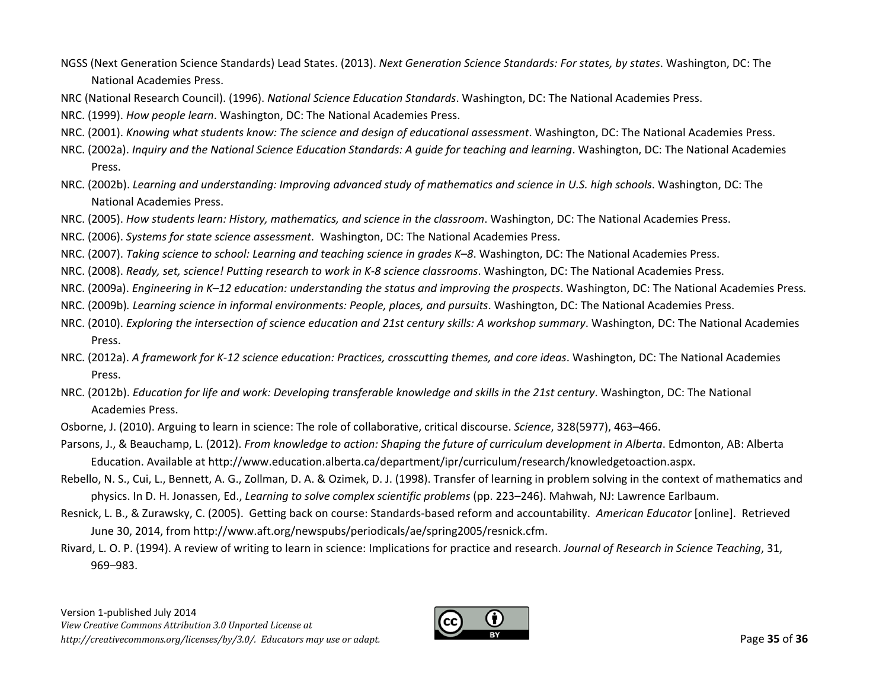- NGSS (Next Generation Science Standards) Lead States. (2013). *Next Generation Science Standards: For states, by states*. Washington, DC: The National Academies Press.
- NRC (National Research Council). (1996). *National Science Education Standards*. Washington, DC: The National Academies Press.
- NRC. (1999). *How people learn*. Washington, DC: The National Academies Press.
- NRC. (2001). *Knowing what students know: The science and design of educational assessment*. Washington, DC: The National Academies Press.
- NRC. (2002a). *Inquiry and the National Science Education Standards: A guide for teaching and learning*. Washington, DC: The National Academies Press.
- NRC. (2002b). *Learning and understanding: Improving advanced study of mathematics and science in U.S. high schools*. Washington, DC: The National Academies Press.
- NRC. (2005). *How students learn: History, mathematics, and science in the classroom*. Washington, DC: The National Academies Press.
- NRC. (2006). *Systems for state science assessment*. Washington, DC: The National Academies Press.
- NRC. (2007). *Taking science to school: Learning and teaching science in grades K–8*. Washington, DC: The National Academies Press.
- NRC. (2008). *Ready, set, science! Putting research to work in K‐8 science classrooms*. Washington, DC: The National Academies Press.
- NRC. (2009a). *Engineering in K–12 education: understanding the status and improving the prospects*. Washington, DC: The National Academies Press.
- NRC. (2009b)*. Learning science in informal environments: People, places, and pursuits*. Washington, DC: The National Academies Press.
- NRC. (2010). *Exploring the intersection of science education and 21st century skills: A workshop summary*. Washington, DC: The National Academies Press.
- NRC. (2012a). *A framework for K-12 science education: Practices, crosscutting themes, and core ideas*. Washington, DC: The National Academies Press.
- NRC. (2012b). *Education for life and work: Developing transferable knowledge and skills in the 21st century*. Washington, DC: The National Academies Press.
- Osborne, J. (2010). Arguing to learn in science: The role of collaborative, critical discourse. *Science*, 328(5977), 463–466.
- Parsons, J., & Beauchamp, L. (2012). From knowledge to action: Shaping the future of curriculum development in Alberta. Edmonton, AB: Alberta Education. Available at http://www.education.alberta.ca/department/ipr/curriculum/research/knowledgetoaction.aspx.
- Rebello, N. S., Cui, L., Bennett, A. G., Zollman, D. A. & Ozimek, D. J. (1998). Transfer of learning in problem solving in the context of mathematics and physics. In D. H. Jonassen, Ed., *Learning to solve complex scientific problems* (pp. 223–246). Mahwah, NJ: Lawrence Earlbaum.
- Resnick, L. B., & Zurawsky, C. (2005). Getting back on course: Standards‐based reform and accountability. *American Educator* [online]. Retrieved June 30, 2014, from http://www.aft.org/newspubs/periodicals/ae/spring2005/resnick.cfm.
- Rivard, L. O. P. (1994). A review of writing to learn in science: Implications for practice and research. *Journal of Research in Science Teaching*, 31, 969–983.